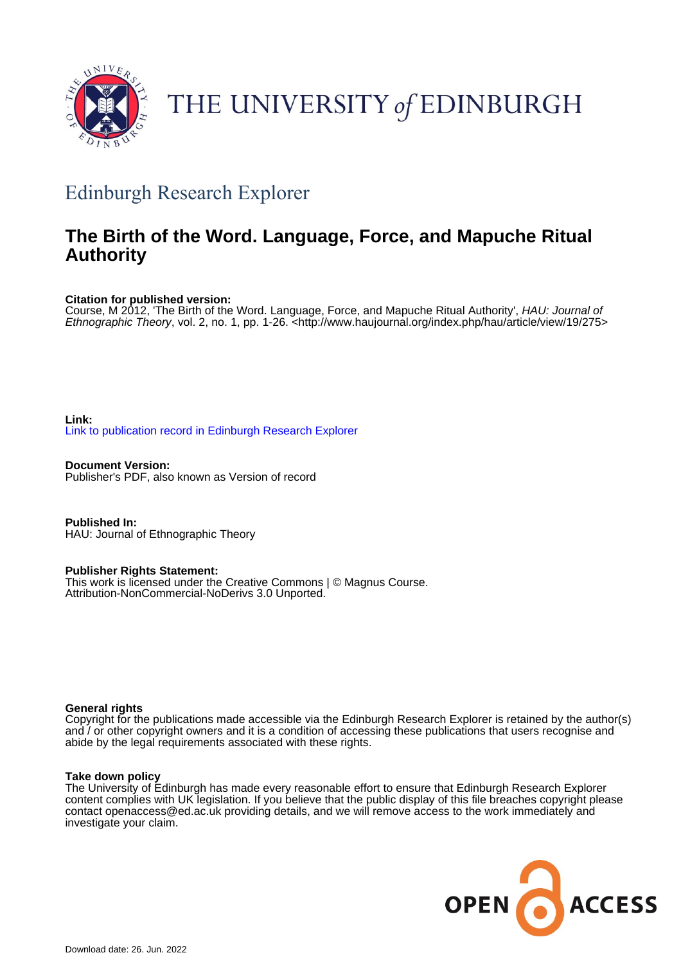

# THE UNIVERSITY of EDINBURGH

### Edinburgh Research Explorer

### **The Birth of the Word. Language, Force, and Mapuche Ritual Authority**

**Citation for published version:**

Course, M 2012, 'The Birth of the Word. Language, Force, and Mapuche Ritual Authority', HAU: Journal of Ethnographic Theory, vol. 2, no. 1, pp. 1-26. <<http://www.haujournal.org/index.php/hau/article/view/19/275>>

**Link:** [Link to publication record in Edinburgh Research Explorer](https://www.research.ed.ac.uk/en/publications/726d6b24-7c4f-417f-bcbd-58f27d42cd53)

**Document Version:** Publisher's PDF, also known as Version of record

**Published In:** HAU: Journal of Ethnographic Theory

**Publisher Rights Statement:** This work is licensed under the Creative Commons | © Magnus Course. Attribution-NonCommercial-NoDerivs 3.0 Unported.

#### **General rights**

Copyright for the publications made accessible via the Edinburgh Research Explorer is retained by the author(s) and / or other copyright owners and it is a condition of accessing these publications that users recognise and abide by the legal requirements associated with these rights.

#### **Take down policy**

The University of Edinburgh has made every reasonable effort to ensure that Edinburgh Research Explorer content complies with UK legislation. If you believe that the public display of this file breaches copyright please contact openaccess@ed.ac.uk providing details, and we will remove access to the work immediately and investigate your claim.

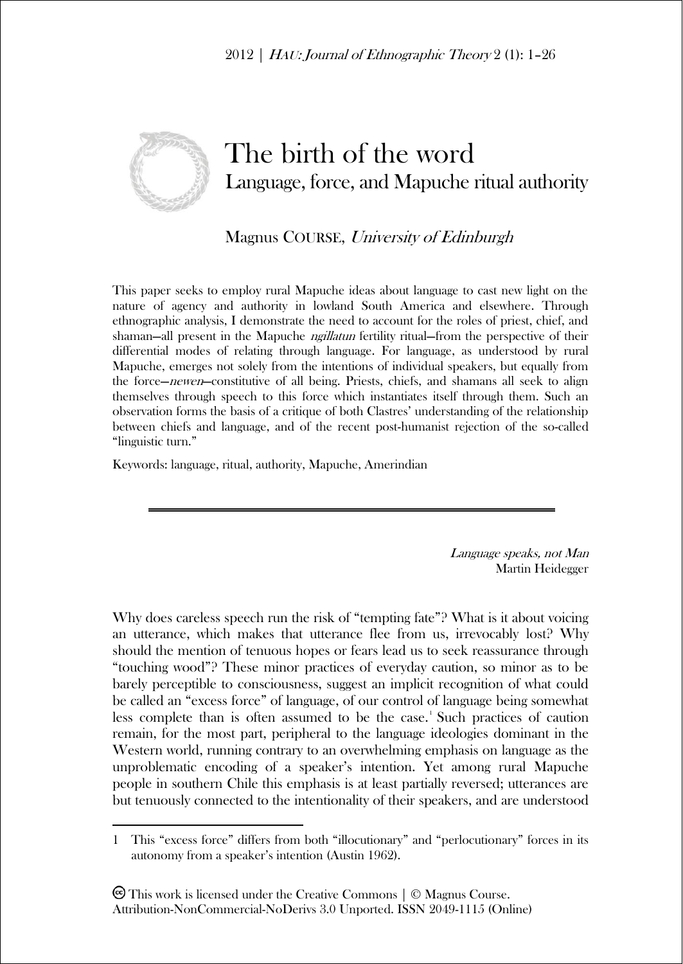

## The birth of the word Language, force, and Mapuche ritual authority

Magnus COURSE, University of Edinburgh

This paper seeks to employ rural Mapuche ideas about language to cast new light on the nature of agency and authority in lowland South America and elsewhere. Through ethnographic analysis, I demonstrate the need to account for the roles of priest, chief, and shaman—all present in the Mapuche *ngillatun* fertility ritual—from the perspective of their differential modes of relating through language. For language, as understood by rural Mapuche, emerges not solely from the intentions of individual speakers, but equally from the force—newen—constitutive of all being. Priests, chiefs, and shamans all seek to align themselves through speech to this force which instantiates itself through them. Such an observation forms the basis of a critique of both Clastres' understanding of the relationship between chiefs and language, and of the recent post-humanist rejection of the so-called "linguistic turn."

Keywords: language, ritual, authority, Mapuche, Amerindian

Language speaks, not Man Martin Heidegger

Why does careless speech run the risk of "tempting fate"? What is it about voicing an utterance, which makes that utterance flee from us, irrevocably lost? Why should the mention of tenuous hopes or fears lead us to seek reassurance through "touching wood"? These minor practices of everyday caution, so minor as to be barely perceptible to consciousness, suggest an implicit recognition of what could be called an "excess force" of language, of our control of language being somewhat less complete than is often assumed to be the case.<sup>1</sup> Such practices of caution remain, for the most part, peripheral to the language ideologies dominant in the Western world, running contrary to an overwhelming emphasis on language as the unproblematic encoding of a speaker's intention. Yet among rural Mapuche people in southern Chile this emphasis is at least partially reversed; utterances are but tenuously connected to the intentionality of their speakers, and are understood

 $\overline{a}$ 1 This "excess force" differs from both "illocutionary" and "perlocutionary" forces in its autonomy from a speaker's intention (Austin 1962).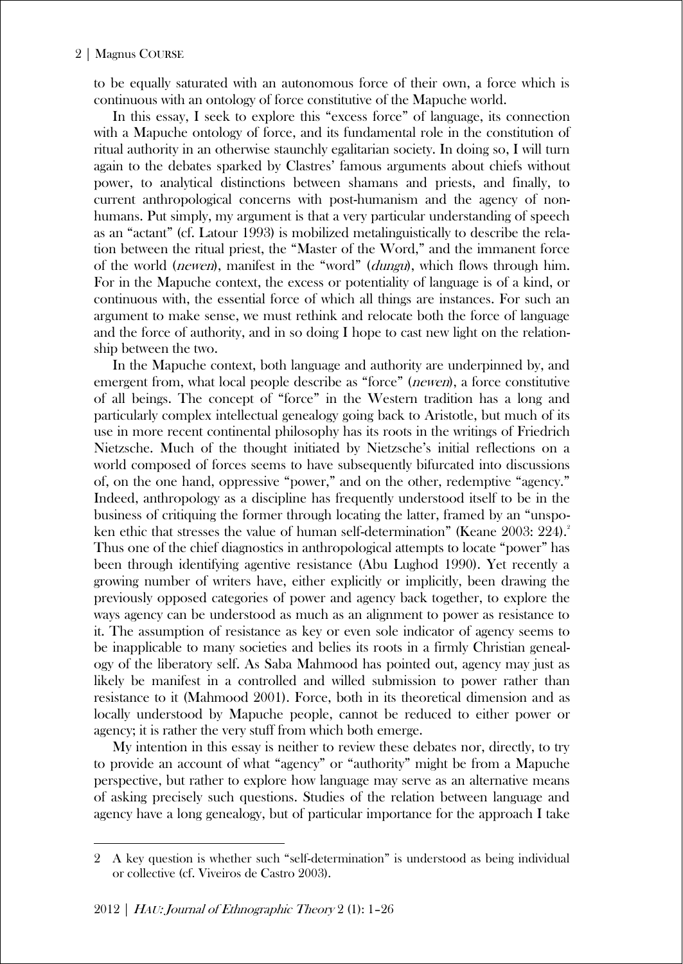to be equally saturated with an autonomous force of their own, a force which is continuous with an ontology of force constitutive of the Mapuche world.

In this essay, I seek to explore this "excess force" of language, its connection with a Mapuche ontology of force, and its fundamental role in the constitution of ritual authority in an otherwise staunchly egalitarian society. In doing so, I will turn again to the debates sparked by Clastres' famous arguments about chiefs without power, to analytical distinctions between shamans and priests, and finally, to current anthropological concerns with post-humanism and the agency of nonhumans. Put simply, my argument is that a very particular understanding of speech as an "actant" (cf. Latour 1993) is mobilized metalinguistically to describe the relation between the ritual priest, the "Master of the Word," and the immanent force of the world (*newen*), manifest in the "word" (*dungu*), which flows through him. For in the Mapuche context, the excess or potentiality of language is of a kind, or continuous with, the essential force of which all things are instances. For such an argument to make sense, we must rethink and relocate both the force of language and the force of authority, and in so doing I hope to cast new light on the relationship between the two.

In the Mapuche context, both language and authority are underpinned by, and emergent from, what local people describe as "force" (newen), a force constitutive of all beings. The concept of "force" in the Western tradition has a long and particularly complex intellectual genealogy going back to Aristotle, but much of its use in more recent continental philosophy has its roots in the writings of Friedrich Nietzsche. Much of the thought initiated by Nietzsche's initial reflections on a world composed of forces seems to have subsequently bifurcated into discussions of, on the one hand, oppressive "power," and on the other, redemptive "agency." Indeed, anthropology as a discipline has frequently understood itself to be in the business of critiquing the former through locating the latter, framed by an "unspoken ethic that stresses the value of human self-determination" (Keane  $2003: 224$ ). Thus one of the chief diagnostics in anthropological attempts to locate "power" has been through identifying agentive resistance (Abu Lughod 1990). Yet recently a growing number of writers have, either explicitly or implicitly, been drawing the previously opposed categories of power and agency back together, to explore the ways agency can be understood as much as an alignment to power as resistance to it. The assumption of resistance as key or even sole indicator of agency seems to be inapplicable to many societies and belies its roots in a firmly Christian genealogy of the liberatory self. As Saba Mahmood has pointed out, agency may just as likely be manifest in a controlled and willed submission to power rather than resistance to it (Mahmood 2001). Force, both in its theoretical dimension and as locally understood by Mapuche people, cannot be reduced to either power or agency; it is rather the very stuff from which both emerge.

My intention in this essay is neither to review these debates nor, directly, to try to provide an account of what "agency" or "authority" might be from a Mapuche perspective, but rather to explore how language may serve as an alternative means of asking precisely such questions. Studies of the relation between language and agency have a long genealogy, but of particular importance for the approach I take

<sup>2</sup> A key question is whether such "self-determination" is understood as being individual or collective (cf. Viveiros de Castro 2003).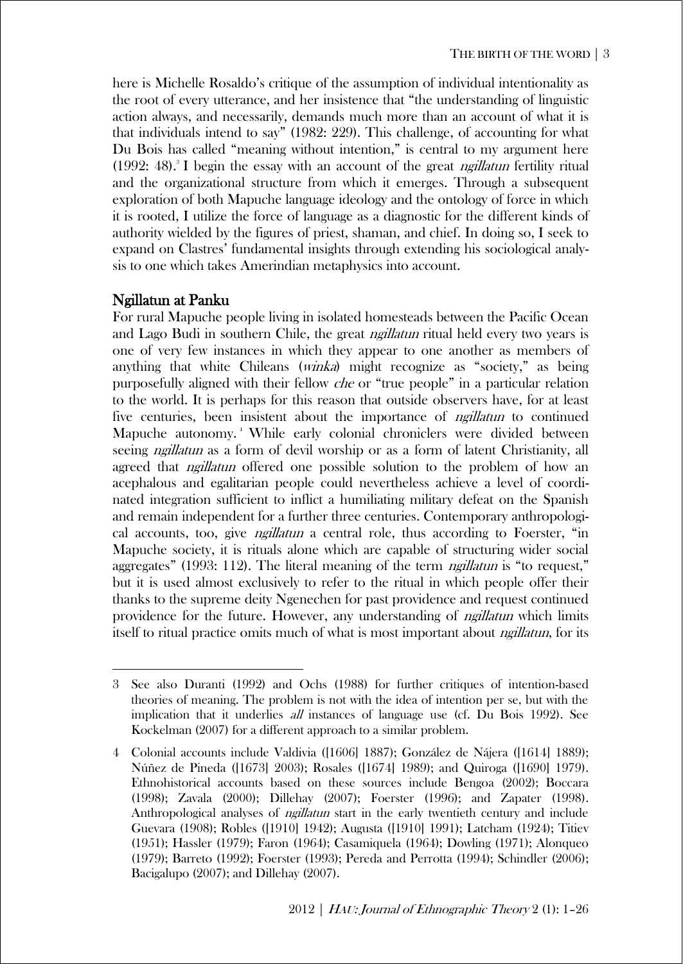here is Michelle Rosaldo's critique of the assumption of individual intentionality as the root of every utterance, and her insistence that "the understanding of linguistic action always, and necessarily, demands much more than an account of what it is that individuals intend to say" (1982: 229). This challenge, of accounting for what Du Bois has called "meaning without intention," is central to my argument here  $(1992: 48).$ <sup>3</sup> I begin the essay with an account of the great *ngillatun* fertility ritual and the organizational structure from which it emerges. Through a subsequent exploration of both Mapuche language ideology and the ontology of force in which it is rooted, I utilize the force of language as a diagnostic for the different kinds of authority wielded by the figures of priest, shaman, and chief. In doing so, I seek to expand on Clastres' fundamental insights through extending his sociological analysis to one which takes Amerindian metaphysics into account.

#### Ngillatun at Panku

For rural Mapuche people living in isolated homesteads between the Pacific Ocean and Lago Budi in southern Chile, the great *ngillatun* ritual held every two years is one of very few instances in which they appear to one another as members of anything that white Chileans (winka) might recognize as "society," as being purposefully aligned with their fellow che or "true people" in a particular relation to the world. It is perhaps for this reason that outside observers have, for at least five centuries, been insistent about the importance of ngillatun to continued Mapuche autonomy. <sup>4</sup> While early colonial chroniclers were divided between seeing *ngillatun* as a form of devil worship or as a form of latent Christianity, all agreed that *ngillatun* offered one possible solution to the problem of how an acephalous and egalitarian people could nevertheless achieve a level of coordinated integration sufficient to inflict a humiliating military defeat on the Spanish and remain independent for a further three centuries. Contemporary anthropological accounts, too, give *ngillatun* a central role, thus according to Foerster, "in Mapuche society, it is rituals alone which are capable of structuring wider social aggregates" (1993: 112). The literal meaning of the term *ngillatun* is "to request," but it is used almost exclusively to refer to the ritual in which people offer their thanks to the supreme deity Ngenechen for past providence and request continued providence for the future. However, any understanding of ngillatun which limits itself to ritual practice omits much of what is most important about *ngillatun*, for its

 $\overline{a}$ 3 See also Duranti (1992) and Ochs (1988) for further critiques of intention-based theories of meaning. The problem is not with the idea of intention per se, but with the implication that it underlies all instances of language use (cf. Du Bois 1992). See Kockelman (2007) for a different approach to a similar problem.

<sup>4</sup> Colonial accounts include Valdivia ([1606] 1887); González de Nájera ([1614] 1889); Núñez de Pineda ([1673] 2003); Rosales ([1674] 1989); and Quiroga ([1690] 1979). Ethnohistorical accounts based on these sources include Bengoa (2002); Boccara (1998); Zavala (2000); Dillehay (2007); Foerster (1996); and Zapater (1998). Anthropological analyses of *ngillatun* start in the early twentieth century and include Guevara (1908); Robles ([1910] 1942); Augusta ([1910] 1991); Latcham (1924); Titiev (1951); Hassler (1979); Faron (1964); Casamiquela (1964); Dowling (1971); Alonqueo (1979); Barreto (1992); Foerster (1993); Pereda and Perrotta (1994); Schindler (2006); Bacigalupo (2007); and Dillehay (2007).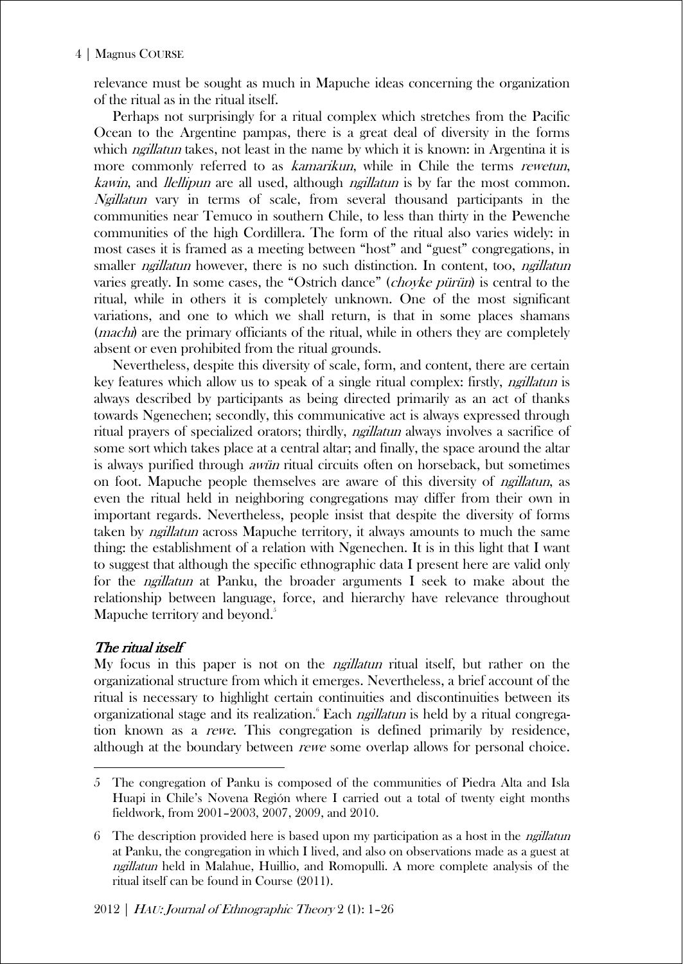relevance must be sought as much in Mapuche ideas concerning the organization of the ritual as in the ritual itself.

Perhaps not surprisingly for a ritual complex which stretches from the Pacific Ocean to the Argentine pampas, there is a great deal of diversity in the forms which *ngillatun* takes, not least in the name by which it is known: in Argentina it is more commonly referred to as *kamarikun*, while in Chile the terms *rewetun*, kawin, and *llellipun* are all used, although *ngillatun* is by far the most common. Ngillatun vary in terms of scale, from several thousand participants in the communities near Temuco in southern Chile, to less than thirty in the Pewenche communities of the high Cordillera. The form of the ritual also varies widely: in most cases it is framed as a meeting between "host" and "guest" congregations, in smaller *ngillatun* however, there is no such distinction. In content, too, *ngillatun* varies greatly. In some cases, the "Ostrich dance" (choyke pürün) is central to the ritual, while in others it is completely unknown. One of the most significant variations, and one to which we shall return, is that in some places shamans (machi) are the primary officiants of the ritual, while in others they are completely absent or even prohibited from the ritual grounds.

Nevertheless, despite this diversity of scale, form, and content, there are certain key features which allow us to speak of a single ritual complex: firstly, *ngillatun* is always described by participants as being directed primarily as an act of thanks towards Ngenechen; secondly, this communicative act is always expressed through ritual prayers of specialized orators; thirdly, ngillatun always involves a sacrifice of some sort which takes place at a central altar; and finally, the space around the altar is always purified through *awün* ritual circuits often on horseback, but sometimes on foot. Mapuche people themselves are aware of this diversity of ngillatun, as even the ritual held in neighboring congregations may differ from their own in important regards. Nevertheless, people insist that despite the diversity of forms taken by ngillatun across Mapuche territory, it always amounts to much the same thing: the establishment of a relation with Ngenechen. It is in this light that I want to suggest that although the specific ethnographic data I present here are valid only for the ngillatun at Panku, the broader arguments I seek to make about the relationship between language, force, and hierarchy have relevance throughout Mapuche territory and beyond.<sup>5</sup>

#### The ritual itself

 $\overline{a}$ 

My focus in this paper is not on the *ngillatun* ritual itself, but rather on the organizational structure from which it emerges. Nevertheless, a brief account of the ritual is necessary to highlight certain continuities and discontinuities between its organizational stage and its realization.<sup>6</sup> Each *ngillatun* is held by a ritual congregation known as a rewe. This congregation is defined primarily by residence, although at the boundary between rewe some overlap allows for personal choice.

<sup>5</sup> The congregation of Panku is composed of the communities of Piedra Alta and Isla Huapi in Chile's Novena Región where I carried out a total of twenty eight months fieldwork, from 2001–2003, 2007, 2009, and 2010.

<sup>6</sup> The description provided here is based upon my participation as a host in the ngillatun at Panku, the congregation in which I lived, and also on observations made as a guest at ngillatun held in Malahue, Huillio, and Romopulli. A more complete analysis of the ritual itself can be found in Course (2011).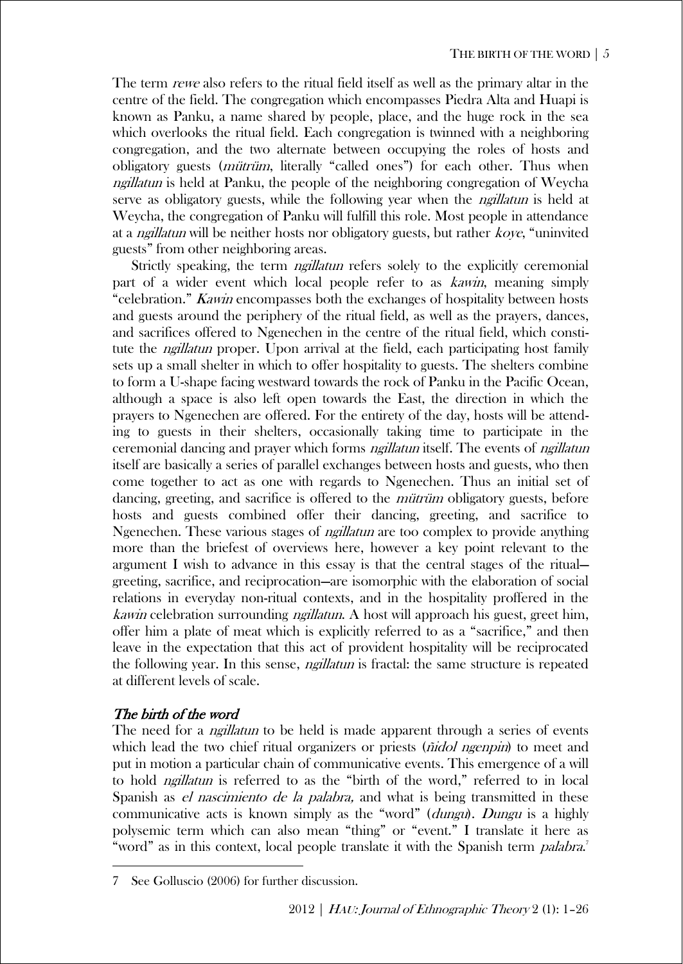The term *rewe* also refers to the ritual field itself as well as the primary altar in the centre of the field. The congregation which encompasses Piedra Alta and Huapi is known as Panku, a name shared by people, place, and the huge rock in the sea which overlooks the ritual field. Each congregation is twinned with a neighboring congregation, and the two alternate between occupying the roles of hosts and obligatory guests (mütrüm, literally "called ones") for each other. Thus when ngillatun is held at Panku, the people of the neighboring congregation of Weycha serve as obligatory guests, while the following year when the *ngillatun* is held at Weycha, the congregation of Panku will fulfill this role. Most people in attendance at a ngillatun will be neither hosts nor obligatory guests, but rather koye, "uninvited guests" from other neighboring areas.

Strictly speaking, the term *ngillatun* refers solely to the explicitly ceremonial part of a wider event which local people refer to as kawin, meaning simply "celebration." Kawin encompasses both the exchanges of hospitality between hosts and guests around the periphery of the ritual field, as well as the prayers, dances, and sacrifices offered to Ngenechen in the centre of the ritual field, which constitute the *ngillatun* proper. Upon arrival at the field, each participating host family sets up a small shelter in which to offer hospitality to guests. The shelters combine to form a U-shape facing westward towards the rock of Panku in the Pacific Ocean, although a space is also left open towards the East, the direction in which the prayers to Ngenechen are offered. For the entirety of the day, hosts will be attending to guests in their shelters, occasionally taking time to participate in the ceremonial dancing and prayer which forms ngillatun itself. The events of ngillatun itself are basically a series of parallel exchanges between hosts and guests, who then come together to act as one with regards to Ngenechen. Thus an initial set of dancing, greeting, and sacrifice is offered to the *mütrüm* obligatory guests, before hosts and guests combined offer their dancing, greeting, and sacrifice to Ngenechen. These various stages of *ngillatun* are too complex to provide anything more than the briefest of overviews here, however a key point relevant to the argument I wish to advance in this essay is that the central stages of the ritual greeting, sacrifice, and reciprocation—are isomorphic with the elaboration of social relations in everyday non-ritual contexts, and in the hospitality proffered in the kawin celebration surrounding ngillatun. A host will approach his guest, greet him, offer him a plate of meat which is explicitly referred to as a "sacrifice," and then leave in the expectation that this act of provident hospitality will be reciprocated the following year. In this sense, *ngillatun* is fractal: the same structure is repeated at different levels of scale.

#### The birth of the word

 $\overline{a}$ 

The need for a *ngillatun* to be held is made apparent through a series of events which lead the two chief ritual organizers or priests (*ñidol ngenpin*) to meet and put in motion a particular chain of communicative events. This emergence of a will to hold ngillatun is referred to as the "birth of the word," referred to in local Spanish as *el nascimiento de la palabra*, and what is being transmitted in these communicative acts is known simply as the "word" (dungu). Dungu is a highly polysemic term which can also mean "thing" or "event." I translate it here as "word" as in this context, local people translate it with the Spanish term *palabra*.<sup>7</sup>

<sup>7</sup> See Golluscio (2006) for further discussion.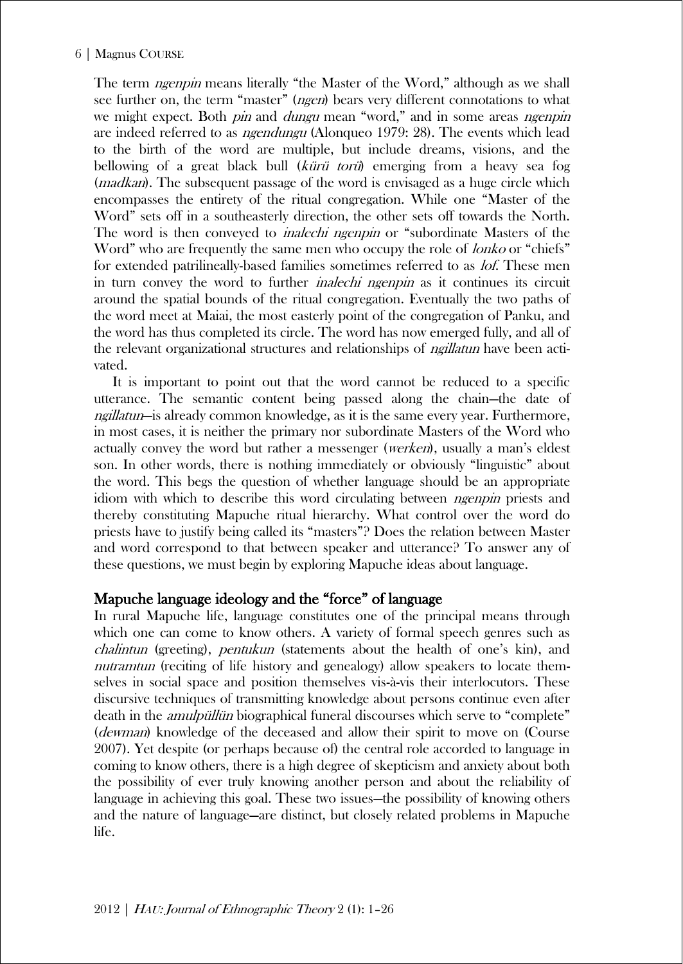The term *ngenpin* means literally "the Master of the Word," although as we shall see further on, the term "master" (*ngen*) bears very different connotations to what we might expect. Both *pin* and *dungu* mean "word," and in some areas *ngenpin* are indeed referred to as ngendungu (Alonqueo 1979: 28). The events which lead to the birth of the word are multiple, but include dreams, visions, and the bellowing of a great black bull (kürü torü) emerging from a heavy sea fog (*madkan*). The subsequent passage of the word is envisaged as a huge circle which encompasses the entirety of the ritual congregation. While one "Master of the Word" sets off in a southeasterly direction, the other sets off towards the North. The word is then conveyed to *inalechi ngenpin* or "subordinate Masters of the Word" who are frequently the same men who occupy the role of *lonko* or "chiefs" for extended patrilineally-based families sometimes referred to as *lof*. These men in turn convey the word to further inalechi ngenpin as it continues its circuit around the spatial bounds of the ritual congregation. Eventually the two paths of the word meet at Maiai, the most easterly point of the congregation of Panku, and the word has thus completed its circle. The word has now emerged fully, and all of the relevant organizational structures and relationships of *ngillatun* have been activated.

It is important to point out that the word cannot be reduced to a specific utterance. The semantic content being passed along the chain—the date of ngillatun—is already common knowledge, as it is the same every year. Furthermore, in most cases, it is neither the primary nor subordinate Masters of the Word who actually convey the word but rather a messenger (werken), usually a man's eldest son. In other words, there is nothing immediately or obviously "linguistic" about the word. This begs the question of whether language should be an appropriate idiom with which to describe this word circulating between ngenpin priests and thereby constituting Mapuche ritual hierarchy. What control over the word do priests have to justify being called its "masters"? Does the relation between Master and word correspond to that between speaker and utterance? To answer any of these questions, we must begin by exploring Mapuche ideas about language.

#### Mapuche language ideology and the "force" of language

In rural Mapuche life, language constitutes one of the principal means through which one can come to know others. A variety of formal speech genres such as chalintun (greeting), pentukun (statements about the health of one's kin), and nutramtun (reciting of life history and genealogy) allow speakers to locate themselves in social space and position themselves vis-à-vis their interlocutors. These discursive techniques of transmitting knowledge about persons continue even after death in the *amulpüllün* biographical funeral discourses which serve to "complete" (dewman) knowledge of the deceased and allow their spirit to move on (Course 2007). Yet despite (or perhaps because of) the central role accorded to language in coming to know others, there is a high degree of skepticism and anxiety about both the possibility of ever truly knowing another person and about the reliability of language in achieving this goal. These two issues—the possibility of knowing others and the nature of language—are distinct, but closely related problems in Mapuche life.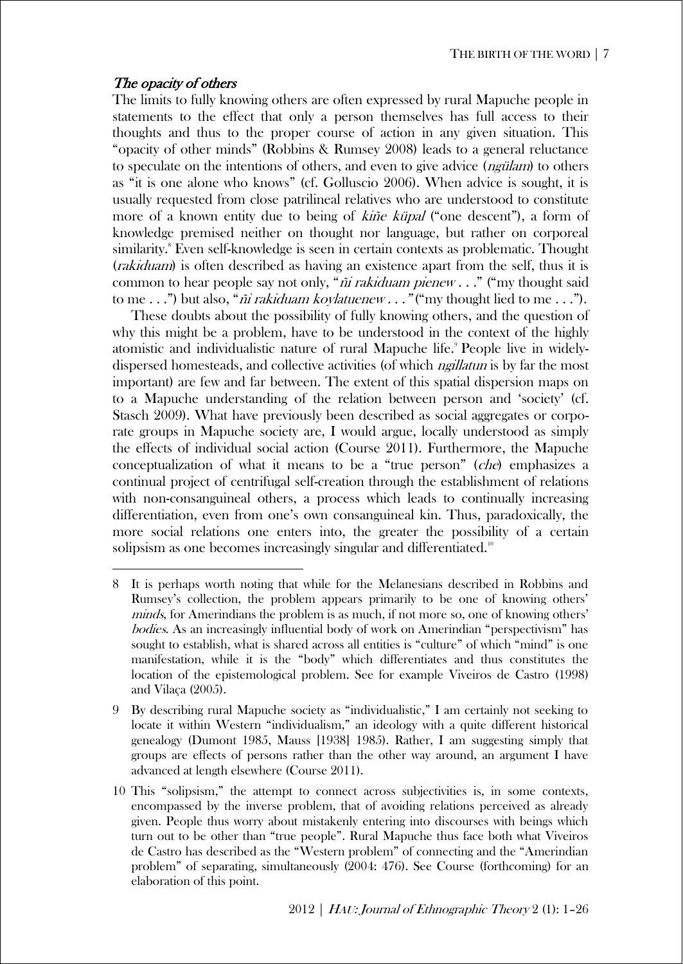#### The opacity of others

 $\overline{a}$ 

The limits to fully knowing others are often expressed by rural Mapuche people in statements to the effect that only a person themselves has full access to their thoughts and thus to the proper course of action in any given situation. This "opacity of other minds" (Robbins & Rumsey 2008) leads to a general reluctance to speculate on the intentions of others, and even to give advice (*ngülam*) to others as "it is one alone who knows" (cf. Golluscio 2006). When advice is sought, it is usually requested from close patrilineal relatives who are understood to constitute more of a known entity due to being of *kiñe küpal* ("one descent"), a form of knowledge premised neither on thought nor language, but rather on corporeal similarity.<sup>8</sup> Even self-knowledge is seen in certain contexts as problematic. Thought (rakiduam) is often described as having an existence apart from the self, thus it is common to hear people say not only, "*ñi rakiduam pienew...*" ("my thought said to me ...") but also, "*ñi rakiduam koylatuenew...*" ("my thought lied to me ...").

These doubts about the possibility of fully knowing others, and the question of why this might be a problem, have to be understood in the context of the highly atomistic and individualistic nature of rural Mapuche life.<sup>9</sup> People live in widelydispersed homesteads, and collective activities (of which *ngillatun* is by far the most important) are few and far between. The extent of this spatial dispersion maps on to a Mapuche understanding of the relation between person and 'society' (cf. Stasch 2009). What have previously been described as social aggregates or corporate groups in Mapuche society are, I would argue, locally understood as simply the effects of individual social action (Course 2011). Furthermore, the Mapuche conceptualization of what it means to be a "true person" (che) emphasizes a continual project of centrifugal self-creation through the establishment of relations with non-consanguineal others, a process which leads to continually increasing differentiation, even from one's own consanguineal kin. Thus, paradoxically, the more social relations one enters into, the greater the possibility of a certain solipsism as one becomes increasingly singular and differentiated.<sup>10</sup>

<sup>8</sup> It is perhaps worth noting that while for the Melanesians described in Robbins and Rumsey's collection, the problem appears primarily to be one of knowing others' minds, for Amerindians the problem is as much, if not more so, one of knowing others' bodies. As an increasingly influential body of work on Amerindian "perspectivism" has sought to establish, what is shared across all entities is "culture" of which "mind" is one manifestation, while it is the "body" which differentiates and thus constitutes the location of the epistemological problem. See for example Viveiros de Castro (1998) and Vilaça (2005).

<sup>9</sup> By describing rural Mapuche society as "individualistic," I am certainly not seeking to locate it within Western "individualism," an ideology with a quite different historical genealogy (Dumont 1985, Mauss [1938] 1985). Rather, I am suggesting simply that groups are effects of persons rather than the other way around, an argument I have advanced at length elsewhere (Course 2011).

<sup>10</sup> This "solipsism," the attempt to connect across subjectivities is, in some contexts, encompassed by the inverse problem, that of avoiding relations perceived as already given. People thus worry about mistakenly entering into discourses with beings which turn out to be other than "true people". Rural Mapuche thus face both what Viveiros de Castro has described as the "Western problem" of connecting and the "Amerindian problem" of separating, simultaneously (2004: 476). See Course (forthcoming) for an elaboration of this point.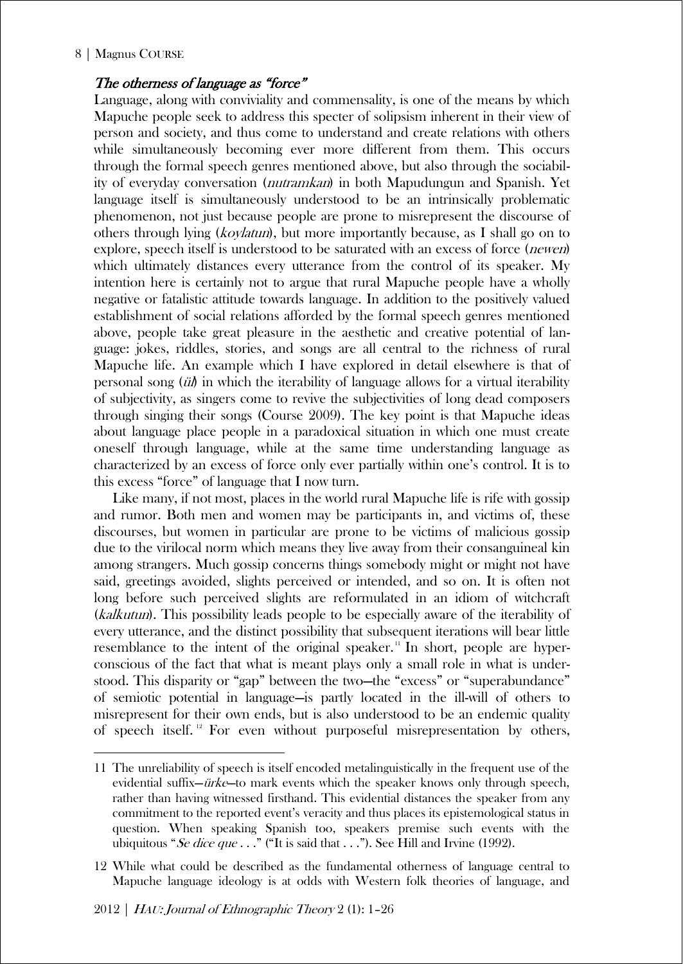$\overline{a}$ 

#### The otherness of language as "force"

Language, along with conviviality and commensality, is one of the means by which Mapuche people seek to address this specter of solipsism inherent in their view of person and society, and thus come to understand and create relations with others while simultaneously becoming ever more different from them. This occurs through the formal speech genres mentioned above, but also through the sociability of everyday conversation (nutramkan) in both Mapudungun and Spanish. Yet language itself is simultaneously understood to be an intrinsically problematic phenomenon, not just because people are prone to misrepresent the discourse of others through lying (koylatun), but more importantly because, as I shall go on to explore, speech itself is understood to be saturated with an excess of force (newen) which ultimately distances every utterance from the control of its speaker. My intention here is certainly not to argue that rural Mapuche people have a wholly negative or fatalistic attitude towards language. In addition to the positively valued establishment of social relations afforded by the formal speech genres mentioned above, people take great pleasure in the aesthetic and creative potential of language: jokes, riddles, stories, and songs are all central to the richness of rural Mapuche life. An example which I have explored in detail elsewhere is that of personal song (ül) in which the iterability of language allows for a virtual iterability of subjectivity, as singers come to revive the subjectivities of long dead composers through singing their songs (Course 2009). The key point is that Mapuche ideas about language place people in a paradoxical situation in which one must create oneself through language, while at the same time understanding language as characterized by an excess of force only ever partially within one's control. It is to this excess "force" of language that I now turn.

Like many, if not most, places in the world rural Mapuche life is rife with gossip and rumor. Both men and women may be participants in, and victims of, these discourses, but women in particular are prone to be victims of malicious gossip due to the virilocal norm which means they live away from their consanguineal kin among strangers. Much gossip concerns things somebody might or might not have said, greetings avoided, slights perceived or intended, and so on. It is often not long before such perceived slights are reformulated in an idiom of witchcraft (kalkutun). This possibility leads people to be especially aware of the iterability of every utterance, and the distinct possibility that subsequent iterations will bear little resemblance to the intent of the original speaker.<sup>11</sup> In short, people are hyperconscious of the fact that what is meant plays only a small role in what is understood. This disparity or "gap" between the two—the "excess" or "superabundance" of semiotic potential in language—is partly located in the ill-will of others to misrepresent for their own ends, but is also understood to be an endemic quality of speech itself. <sup>12</sup> For even without purposeful misrepresentation by others,

<sup>11</sup> The unreliability of speech is itself encoded metalinguistically in the frequent use of the evidential suffix— $\ddot{u}$ rke—to mark events which the speaker knows only through speech, rather than having witnessed firsthand. This evidential distances the speaker from any commitment to the reported event's veracity and thus places its epistemological status in question. When speaking Spanish too, speakers premise such events with the ubiquitous "Se dice que  $\dots$ " ("It is said that  $\dots$ "). See Hill and Irvine (1992).

<sup>12</sup> While what could be described as the fundamental otherness of language central to Mapuche language ideology is at odds with Western folk theories of language, and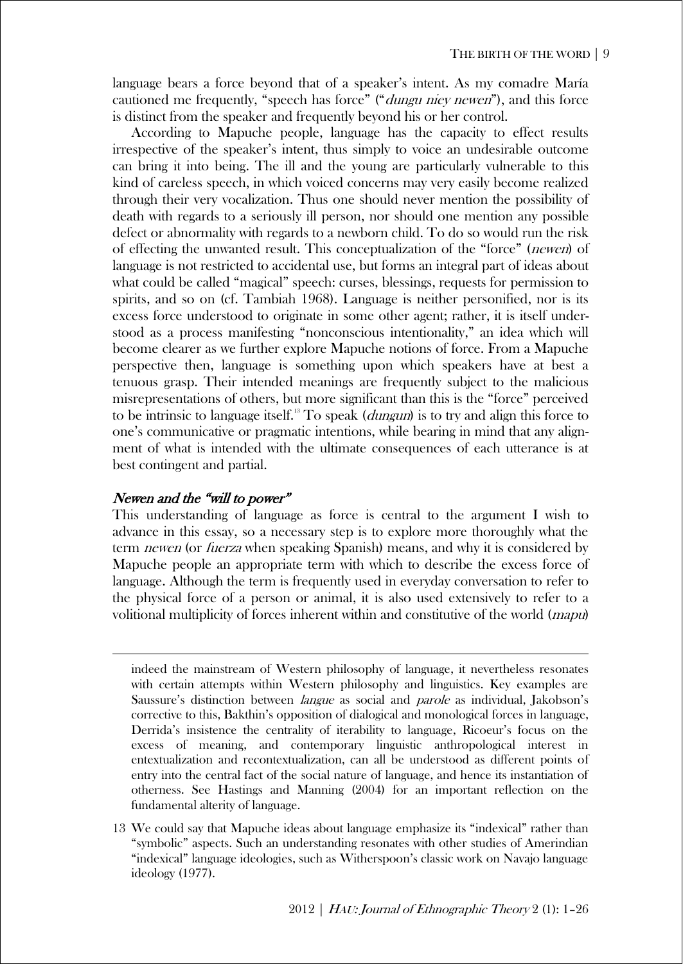language bears a force beyond that of a speaker's intent. As my comadre María cautioned me frequently, "speech has force" ("dungu niey newen"), and this force is distinct from the speaker and frequently beyond his or her control.

According to Mapuche people, language has the capacity to effect results irrespective of the speaker's intent, thus simply to voice an undesirable outcome can bring it into being. The ill and the young are particularly vulnerable to this kind of careless speech, in which voiced concerns may very easily become realized through their very vocalization. Thus one should never mention the possibility of death with regards to a seriously ill person, nor should one mention any possible defect or abnormality with regards to a newborn child. To do so would run the risk of effecting the unwanted result. This conceptualization of the "force" (newen) of language is not restricted to accidental use, but forms an integral part of ideas about what could be called "magical" speech: curses, blessings, requests for permission to spirits, and so on (cf. Tambiah 1968). Language is neither personified, nor is its excess force understood to originate in some other agent; rather, it is itself understood as a process manifesting "nonconscious intentionality," an idea which will become clearer as we further explore Mapuche notions of force. From a Mapuche perspective then, language is something upon which speakers have at best a tenuous grasp. Their intended meanings are frequently subject to the malicious misrepresentations of others, but more significant than this is the "force" perceived to be intrinsic to language itself.<sup>13</sup> To speak (*dungun*) is to try and align this force to one's communicative or pragmatic intentions, while bearing in mind that any alignment of what is intended with the ultimate consequences of each utterance is at best contingent and partial.

#### Newen and the "will to power"

<u>.</u>

This understanding of language as force is central to the argument I wish to advance in this essay, so a necessary step is to explore more thoroughly what the term newen (or fuerza when speaking Spanish) means, and why it is considered by Mapuche people an appropriate term with which to describe the excess force of language. Although the term is frequently used in everyday conversation to refer to the physical force of a person or animal, it is also used extensively to refer to a volitional multiplicity of forces inherent within and constitutive of the world (mapu)

indeed the mainstream of Western philosophy of language, it nevertheless resonates with certain attempts within Western philosophy and linguistics. Key examples are Saussure's distinction between langue as social and parole as individual, Jakobson's corrective to this, Bakthin's opposition of dialogical and monological forces in language, Derrida's insistence the centrality of iterability to language, Ricoeur's focus on the excess of meaning, and contemporary linguistic anthropological interest in entextualization and recontextualization, can all be understood as different points of entry into the central fact of the social nature of language, and hence its instantiation of otherness. See Hastings and Manning (2004) for an important reflection on the fundamental alterity of language.

<sup>13</sup> We could say that Mapuche ideas about language emphasize its "indexical" rather than "symbolic" aspects. Such an understanding resonates with other studies of Amerindian "indexical" language ideologies, such as Witherspoon's classic work on Navajo language ideology (1977).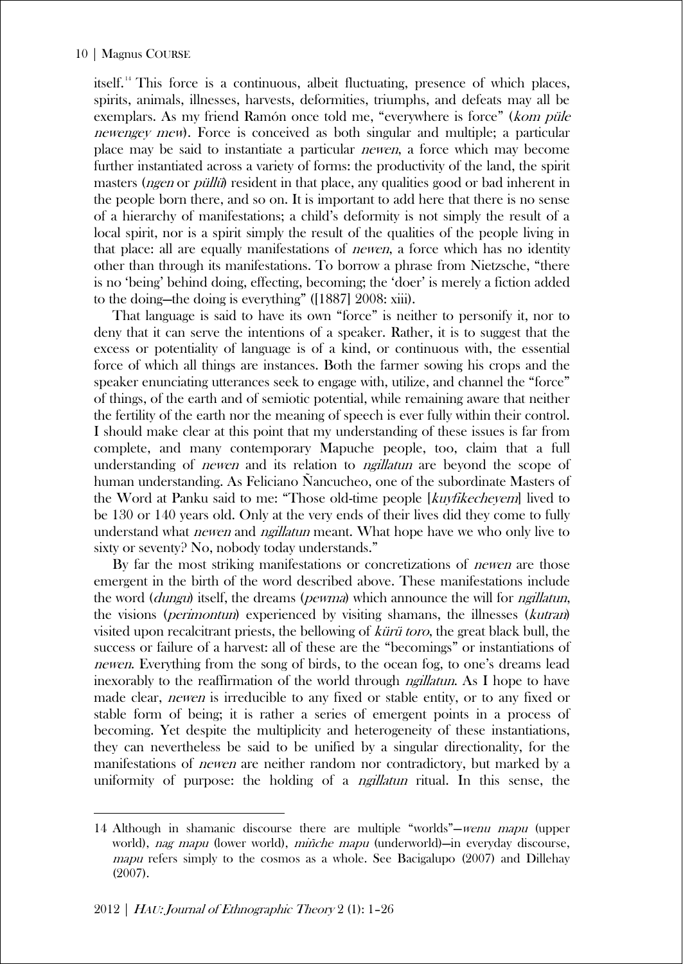itself.<sup>14</sup> This force is a continuous, albeit fluctuating, presence of which places, spirits, animals, illnesses, harvests, deformities, triumphs, and defeats may all be exemplars. As my friend Ramón once told me, "everywhere is force" (kom püle newengey mew). Force is conceived as both singular and multiple; a particular place may be said to instantiate a particular newen, a force which may become further instantiated across a variety of forms: the productivity of the land, the spirit masters (*ngen* or *püllü*) resident in that place, any qualities good or bad inherent in the people born there, and so on. It is important to add here that there is no sense of a hierarchy of manifestations; a child's deformity is not simply the result of a local spirit, nor is a spirit simply the result of the qualities of the people living in that place: all are equally manifestations of newen, a force which has no identity other than through its manifestations. To borrow a phrase from Nietzsche, "there is no 'being' behind doing, effecting, becoming; the 'doer' is merely a fiction added to the doing—the doing is everything" ([1887] 2008: xiii).

That language is said to have its own "force" is neither to personify it, nor to deny that it can serve the intentions of a speaker. Rather, it is to suggest that the excess or potentiality of language is of a kind, or continuous with, the essential force of which all things are instances. Both the farmer sowing his crops and the speaker enunciating utterances seek to engage with, utilize, and channel the "force" of things, of the earth and of semiotic potential, while remaining aware that neither the fertility of the earth nor the meaning of speech is ever fully within their control. I should make clear at this point that my understanding of these issues is far from complete, and many contemporary Mapuche people, too, claim that a full understanding of *newen* and its relation to *ngillatun* are beyond the scope of human understanding. As Feliciano Ñancucheo, one of the subordinate Masters of the Word at Panku said to me: "Those old-time people [kuyfikecheyem] lived to be 130 or 140 years old. Only at the very ends of their lives did they come to fully understand what *newen* and *ngillatun* meant. What hope have we who only live to sixty or seventy? No, nobody today understands."

By far the most striking manifestations or concretizations of *newen* are those emergent in the birth of the word described above. These manifestations include the word (*dungu*) itself, the dreams (*pewma*) which announce the will for *ngillatun*, the visions (*perimontun*) experienced by visiting shamans, the illnesses (*kutran*) visited upon recalcitrant priests, the bellowing of kürü toro, the great black bull, the success or failure of a harvest: all of these are the "becomings" or instantiations of newen. Everything from the song of birds, to the ocean fog, to one's dreams lead inexorably to the reaffirmation of the world through *ngillatun*. As I hope to have made clear, *newen* is irreducible to any fixed or stable entity, or to any fixed or stable form of being; it is rather a series of emergent points in a process of becoming. Yet despite the multiplicity and heterogeneity of these instantiations, they can nevertheless be said to be unified by a singular directionality, for the manifestations of newen are neither random nor contradictory, but marked by a uniformity of purpose: the holding of a *ngillatun* ritual. In this sense, the

<sup>14</sup> Although in shamanic discourse there are multiple "worlds"—wenu mapu (upper world), nag mapu (lower world), miñche mapu (underworld)—in everyday discourse, mapu refers simply to the cosmos as a whole. See Bacigalupo (2007) and Dillehay (2007).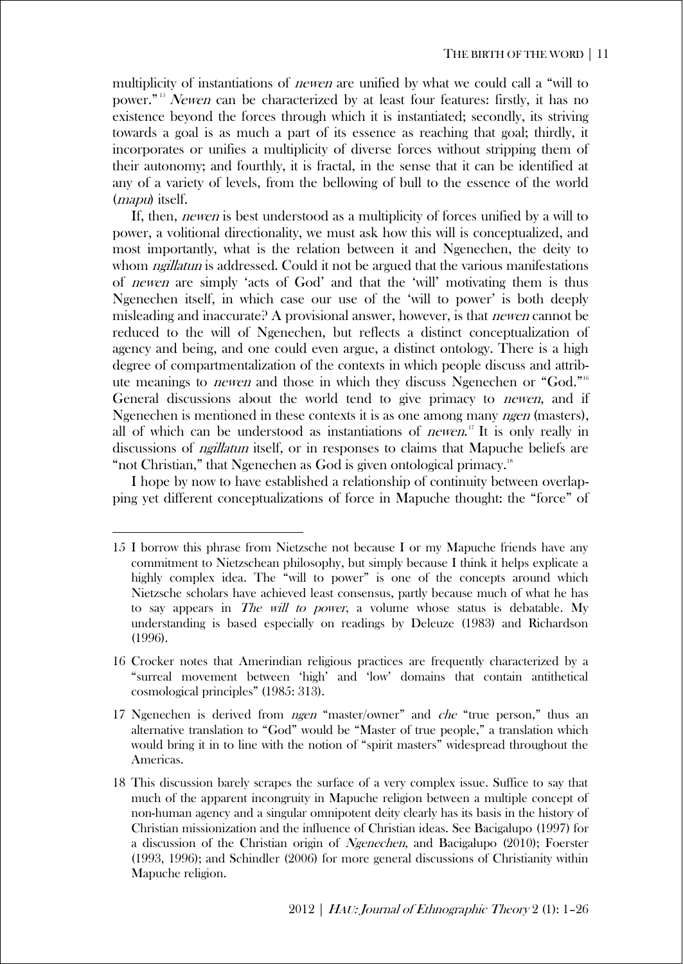multiplicity of instantiations of newen are unified by what we could call a "will to power."<sup>15</sup> Newen can be characterized by at least four features: firstly, it has no existence beyond the forces through which it is instantiated; secondly, its striving towards a goal is as much a part of its essence as reaching that goal; thirdly, it incorporates or unifies a multiplicity of diverse forces without stripping them of their autonomy; and fourthly, it is fractal, in the sense that it can be identified at any of a variety of levels, from the bellowing of bull to the essence of the world (mapu) itself.

If, then, newen is best understood as a multiplicity of forces unified by a will to power, a volitional directionality, we must ask how this will is conceptualized, and most importantly, what is the relation between it and Ngenechen, the deity to whom *ngillatun* is addressed. Could it not be argued that the various manifestations of newen are simply 'acts of God' and that the 'will' motivating them is thus Ngenechen itself, in which case our use of the 'will to power' is both deeply misleading and inaccurate? A provisional answer, however, is that *newen* cannot be reduced to the will of Ngenechen, but reflects a distinct conceptualization of agency and being, and one could even argue, a distinct ontology. There is a high degree of compartmentalization of the contexts in which people discuss and attribute meanings to *newen* and those in which they discuss Ngenechen or "God."<sup>6</sup> General discussions about the world tend to give primacy to newen, and if Ngenechen is mentioned in these contexts it is as one among many *ngen* (masters), all of which can be understood as instantiations of *newen*.<sup>17</sup> It is only really in discussions of *ngillatun* itself, or in responses to claims that Mapuche beliefs are "not Christian," that Ngenechen as God is given ontological primacy.<sup>18</sup>

I hope by now to have established a relationship of continuity between overlapping yet different conceptualizations of force in Mapuche thought: the "force" of

<sup>15</sup> I borrow this phrase from Nietzsche not because I or my Mapuche friends have any commitment to Nietzschean philosophy, but simply because I think it helps explicate a highly complex idea. The "will to power" is one of the concepts around which Nietzsche scholars have achieved least consensus, partly because much of what he has to say appears in The will to power, a volume whose status is debatable. My understanding is based especially on readings by Deleuze (1983) and Richardson (1996).

<sup>16</sup> Crocker notes that Amerindian religious practices are frequently characterized by a "surreal movement between 'high' and 'low' domains that contain antithetical cosmological principles" (1985: 313).

<sup>17</sup> Ngenechen is derived from ngen "master/owner" and che "true person," thus an alternative translation to "God" would be "Master of true people," a translation which would bring it in to line with the notion of "spirit masters" widespread throughout the Americas.

<sup>18</sup> This discussion barely scrapes the surface of a very complex issue. Suffice to say that much of the apparent incongruity in Mapuche religion between a multiple concept of non-human agency and a singular omnipotent deity clearly has its basis in the history of Christian missionization and the influence of Christian ideas. See Bacigalupo (1997) for a discussion of the Christian origin of Ngenechen, and Bacigalupo (2010); Foerster (1993, 1996); and Schindler (2006) for more general discussions of Christianity within Mapuche religion.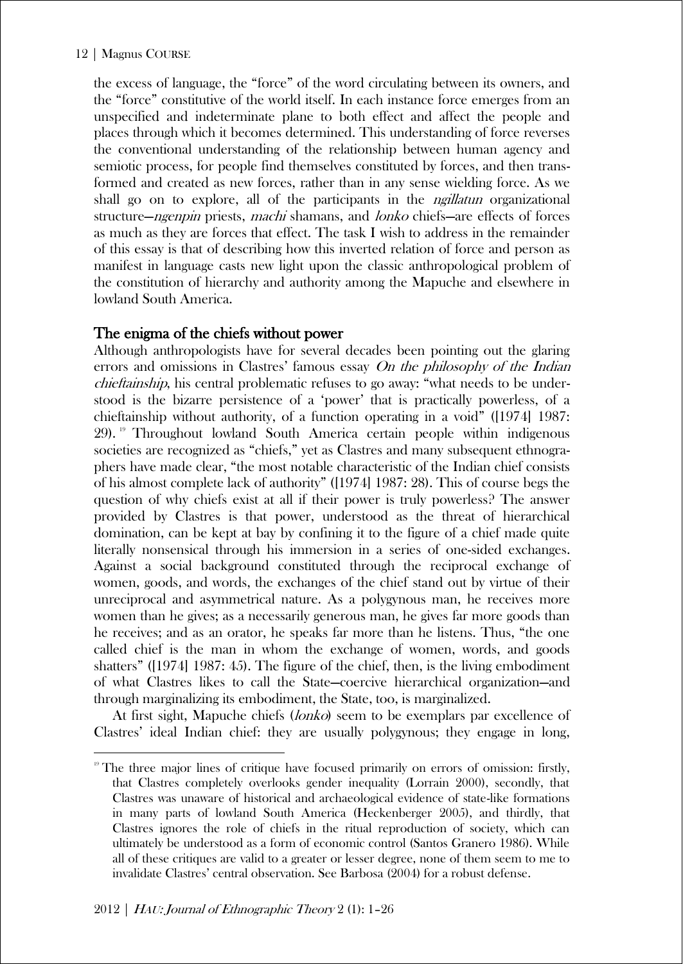$\overline{a}$ 

the excess of language, the "force" of the word circulating between its owners, and the "force" constitutive of the world itself. In each instance force emerges from an unspecified and indeterminate plane to both effect and affect the people and places through which it becomes determined. This understanding of force reverses the conventional understanding of the relationship between human agency and semiotic process, for people find themselves constituted by forces, and then transformed and created as new forces, rather than in any sense wielding force. As we shall go on to explore, all of the participants in the *ngillatun* organizational structure—*ngenpin* priests, *machi* shamans, and *lonko* chiefs—are effects of forces as much as they are forces that effect. The task I wish to address in the remainder of this essay is that of describing how this inverted relation of force and person as manifest in language casts new light upon the classic anthropological problem of the constitution of hierarchy and authority among the Mapuche and elsewhere in lowland South America.

#### The enigma of the chiefs without power

Although anthropologists have for several decades been pointing out the glaring errors and omissions in Clastres' famous essay On the philosophy of the Indian chieftainship, his central problematic refuses to go away: "what needs to be understood is the bizarre persistence of a 'power' that is practically powerless, of a chieftainship without authority, of a function operating in a void" ([1974] 1987: 29). <sup>19</sup> Throughout lowland South America certain people within indigenous societies are recognized as "chiefs," yet as Clastres and many subsequent ethnographers have made clear, "the most notable characteristic of the Indian chief consists of his almost complete lack of authority" ([1974] 1987: 28). This of course begs the question of why chiefs exist at all if their power is truly powerless? The answer provided by Clastres is that power, understood as the threat of hierarchical domination, can be kept at bay by confining it to the figure of a chief made quite literally nonsensical through his immersion in a series of one-sided exchanges. Against a social background constituted through the reciprocal exchange of women, goods, and words, the exchanges of the chief stand out by virtue of their unreciprocal and asymmetrical nature. As a polygynous man, he receives more women than he gives; as a necessarily generous man, he gives far more goods than he receives; and as an orator, he speaks far more than he listens. Thus, "the one called chief is the man in whom the exchange of women, words, and goods shatters" ([1974] 1987: 45). The figure of the chief, then, is the living embodiment of what Clastres likes to call the State—coercive hierarchical organization—and through marginalizing its embodiment, the State, too, is marginalized.

At first sight, Mapuche chiefs (lonko) seem to be exemplars par excellence of Clastres' ideal Indian chief: they are usually polygynous; they engage in long,

<sup>&</sup>lt;sup>19</sup> The three major lines of critique have focused primarily on errors of omission: firstly, that Clastres completely overlooks gender inequality (Lorrain 2000), secondly, that Clastres was unaware of historical and archaeological evidence of state-like formations in many parts of lowland South America (Heckenberger 2005), and thirdly, that Clastres ignores the role of chiefs in the ritual reproduction of society, which can ultimately be understood as a form of economic control (Santos Granero 1986). While all of these critiques are valid to a greater or lesser degree, none of them seem to me to invalidate Clastres' central observation. See Barbosa (2004) for a robust defense.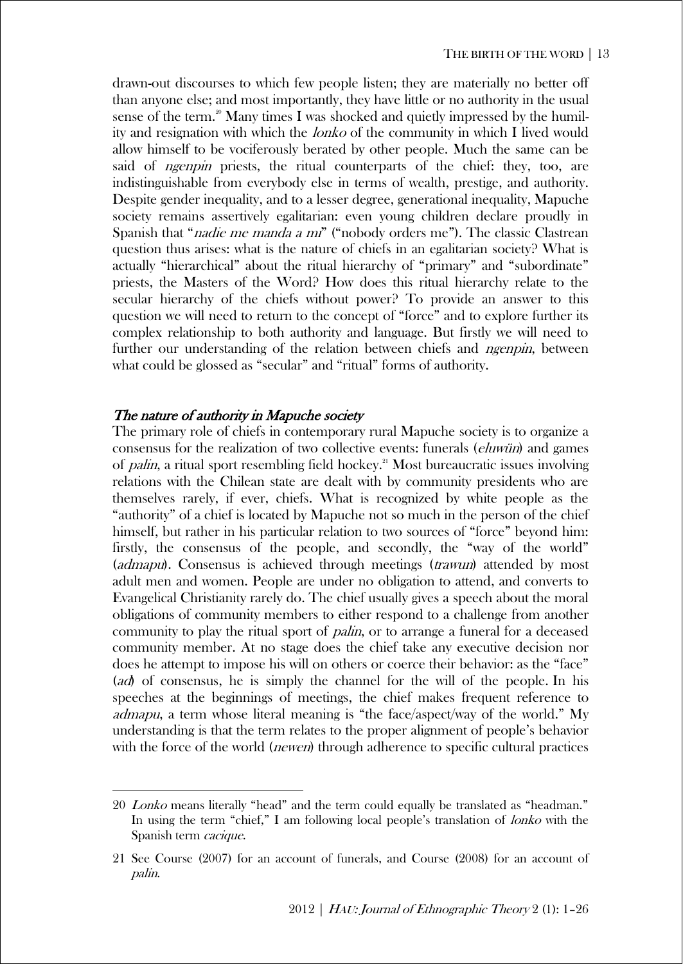drawn-out discourses to which few people listen; they are materially no better off than anyone else; and most importantly, they have little or no authority in the usual sense of the term.<sup>20</sup> Many times I was shocked and quietly impressed by the humility and resignation with which the lonko of the community in which I lived would allow himself to be vociferously berated by other people. Much the same can be said of *ngenpin* priests, the ritual counterparts of the chief: they, too, are indistinguishable from everybody else in terms of wealth, prestige, and authority. Despite gender inequality, and to a lesser degree, generational inequality, Mapuche society remains assertively egalitarian: even young children declare proudly in Spanish that "*nadie me manda a mi*" ("nobody orders me"). The classic Clastrean question thus arises: what is the nature of chiefs in an egalitarian society? What is actually "hierarchical" about the ritual hierarchy of "primary" and "subordinate" priests, the Masters of the Word? How does this ritual hierarchy relate to the secular hierarchy of the chiefs without power? To provide an answer to this question we will need to return to the concept of "force" and to explore further its complex relationship to both authority and language. But firstly we will need to further our understanding of the relation between chiefs and *ngenpin*, between what could be glossed as "secular" and "ritual" forms of authority.

#### The nature of authority in Mapuche society

 $\overline{a}$ 

The primary role of chiefs in contemporary rural Mapuche society is to organize a consensus for the realization of two collective events: funerals (eluwün) and games of *palin*, a ritual sport resembling field hockey.<sup>21</sup> Most bureaucratic issues involving relations with the Chilean state are dealt with by community presidents who are themselves rarely, if ever, chiefs. What is recognized by white people as the "authority" of a chief is located by Mapuche not so much in the person of the chief himself, but rather in his particular relation to two sources of "force" beyond him: firstly, the consensus of the people, and secondly, the "way of the world" (*admapu*). Consensus is achieved through meetings (*trawun*) attended by most adult men and women. People are under no obligation to attend, and converts to Evangelical Christianity rarely do. The chief usually gives a speech about the moral obligations of community members to either respond to a challenge from another community to play the ritual sport of *palin*, or to arrange a funeral for a deceased community member. At no stage does the chief take any executive decision nor does he attempt to impose his will on others or coerce their behavior: as the "face" (ad) of consensus, he is simply the channel for the will of the people. In his speeches at the beginnings of meetings, the chief makes frequent reference to admapu, a term whose literal meaning is "the face/aspect/way of the world." My understanding is that the term relates to the proper alignment of people's behavior with the force of the world *(newen)* through adherence to specific cultural practices

<sup>20</sup> Lonko means literally "head" and the term could equally be translated as "headman." In using the term "chief," I am following local people's translation of *lonko* with the Spanish term cacique.

<sup>21</sup> See Course (2007) for an account of funerals, and Course (2008) for an account of palin.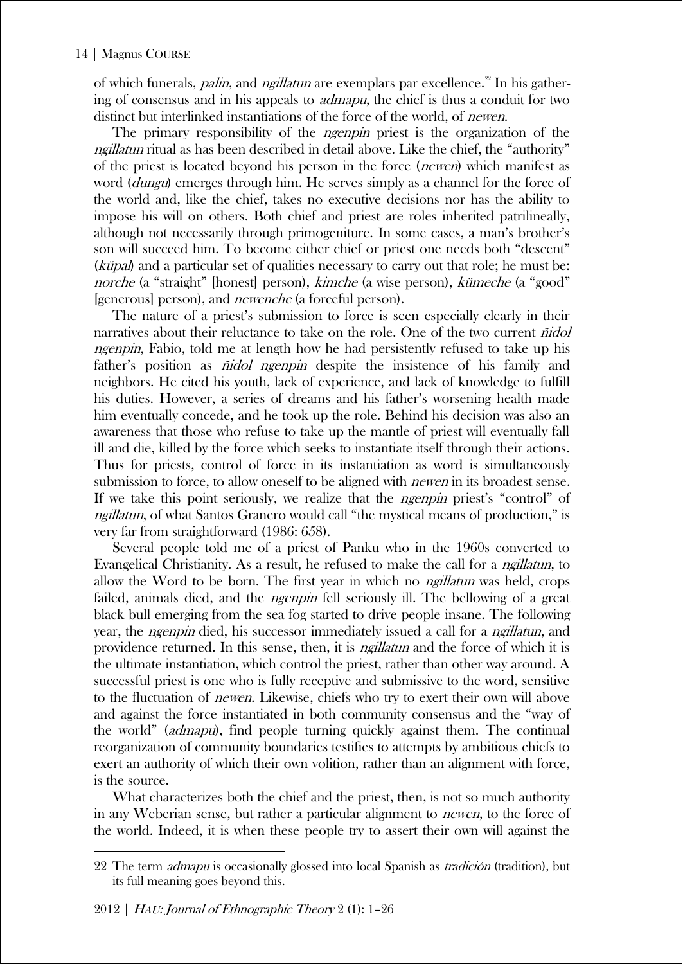of which funerals, *palin*, and *ngillatun* are exemplars par excellence.<sup>22</sup> In his gathering of consensus and in his appeals to admapu, the chief is thus a conduit for two distinct but interlinked instantiations of the force of the world, of *newen*.

The primary responsibility of the *ngenpin* priest is the organization of the ngillatun ritual as has been described in detail above. Like the chief, the "authority" of the priest is located beyond his person in the force (newen) which manifest as word (*dungu*) emerges through him. He serves simply as a channel for the force of the world and, like the chief, takes no executive decisions nor has the ability to impose his will on others. Both chief and priest are roles inherited patrilineally, although not necessarily through primogeniture. In some cases, a man's brother's son will succeed him. To become either chief or priest one needs both "descent" (küpal) and a particular set of qualities necessary to carry out that role; he must be: norche (a "straight" [honest] person), kimche (a wise person), kümeche (a "good" [generous] person), and *newenche* (a forceful person).

The nature of a priest's submission to force is seen especially clearly in their narratives about their reluctance to take on the role. One of the two current *ñidol* ngenpin, Fabio, told me at length how he had persistently refused to take up his father's position as *nidol ngenpin* despite the insistence of his family and neighbors. He cited his youth, lack of experience, and lack of knowledge to fulfill his duties. However, a series of dreams and his father's worsening health made him eventually concede, and he took up the role. Behind his decision was also an awareness that those who refuse to take up the mantle of priest will eventually fall ill and die, killed by the force which seeks to instantiate itself through their actions. Thus for priests, control of force in its instantiation as word is simultaneously submission to force, to allow oneself to be aligned with *newen* in its broadest sense. If we take this point seriously, we realize that the ngenpin priest's "control" of ngillatun, of what Santos Granero would call "the mystical means of production," is very far from straightforward (1986: 658).

Several people told me of a priest of Panku who in the 1960s converted to Evangelical Christianity. As a result, he refused to make the call for a ngillatun, to allow the Word to be born. The first year in which no *ngillatun* was held, crops failed, animals died, and the *ngenpin* fell seriously ill. The bellowing of a great black bull emerging from the sea fog started to drive people insane. The following year, the *ngenpin* died, his successor immediately issued a call for a *ngillatun*, and providence returned. In this sense, then, it is ngillatun and the force of which it is the ultimate instantiation, which control the priest, rather than other way around. A successful priest is one who is fully receptive and submissive to the word, sensitive to the fluctuation of newen. Likewise, chiefs who try to exert their own will above and against the force instantiated in both community consensus and the "way of the world" (admapu), find people turning quickly against them. The continual reorganization of community boundaries testifies to attempts by ambitious chiefs to exert an authority of which their own volition, rather than an alignment with force, is the source.

What characterizes both the chief and the priest, then, is not so much authority in any Weberian sense, but rather a particular alignment to *newen*, to the force of the world. Indeed, it is when these people try to assert their own will against the

<sup>22</sup> The term admapu is occasionally glossed into local Spanish as tradición (tradition), but its full meaning goes beyond this.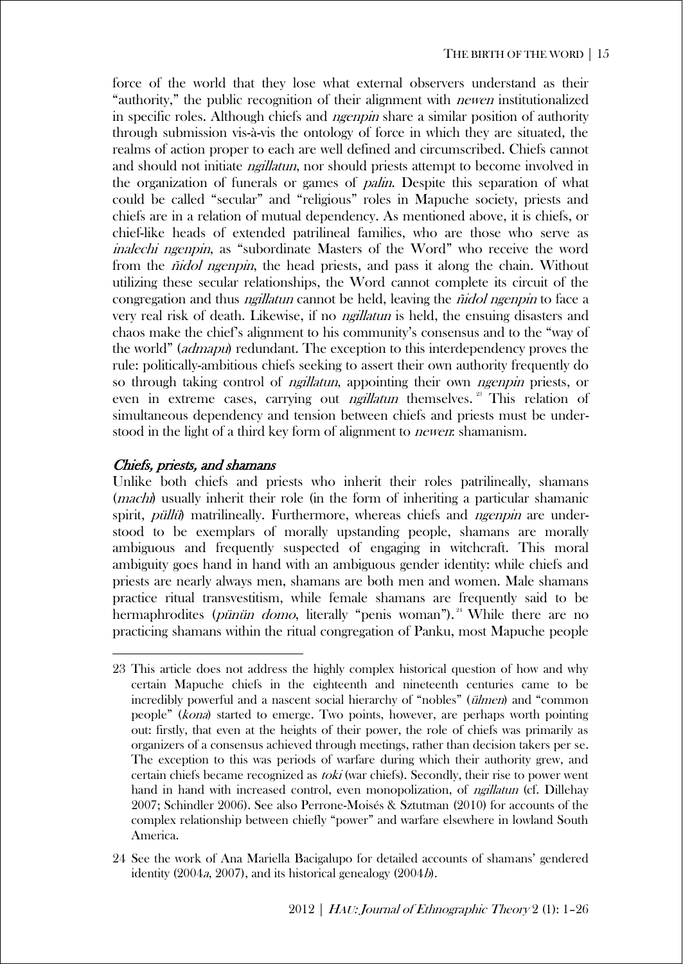force of the world that they lose what external observers understand as their "authority," the public recognition of their alignment with newen institutionalized in specific roles. Although chiefs and ngenpin share a similar position of authority through submission vis-à-vis the ontology of force in which they are situated, the realms of action proper to each are well defined and circumscribed. Chiefs cannot and should not initiate *ngillatun*, nor should priests attempt to become involved in the organization of funerals or games of palin. Despite this separation of what could be called "secular" and "religious" roles in Mapuche society, priests and chiefs are in a relation of mutual dependency. As mentioned above, it is chiefs, or chief-like heads of extended patrilineal families, who are those who serve as inalechi ngenpin, as "subordinate Masters of the Word" who receive the word from the *ñidol ngenpin*, the head priests, and pass it along the chain. Without utilizing these secular relationships, the Word cannot complete its circuit of the congregation and thus *ngillatun* cannot be held, leaving the *ñidol ngenpin* to face a very real risk of death. Likewise, if no ngillatun is held, the ensuing disasters and chaos make the chief's alignment to his community's consensus and to the "way of the world" (admapu) redundant. The exception to this interdependency proves the rule: politically-ambitious chiefs seeking to assert their own authority frequently do so through taking control of *ngillatun*, appointing their own *ngenpin* priests, or even in extreme cases, carrying out *ngillatun* themselves.<sup>23</sup> This relation of simultaneous dependency and tension between chiefs and priests must be understood in the light of a third key form of alignment to *newen*: shamanism.

#### Chiefs, priests, and shamans

 $\overline{a}$ 

Unlike both chiefs and priests who inherit their roles patrilineally, shamans (machi) usually inherit their role (in the form of inheriting a particular shamanic spirit, *püllü*) matrilineally. Furthermore, whereas chiefs and *ngenpin* are understood to be exemplars of morally upstanding people, shamans are morally ambiguous and frequently suspected of engaging in witchcraft. This moral ambiguity goes hand in hand with an ambiguous gender identity: while chiefs and priests are nearly always men, shamans are both men and women. Male shamans practice ritual transvestitism, while female shamans are frequently said to be hermaphrodites (pünün domo, literally "penis woman").<sup>24</sup> While there are no practicing shamans within the ritual congregation of Panku, most Mapuche people

<sup>23</sup> This article does not address the highly complex historical question of how and why certain Mapuche chiefs in the eighteenth and nineteenth centuries came to be incredibly powerful and a nascent social hierarchy of "nobles" (*ülmen*) and "common people" (kona) started to emerge. Two points, however, are perhaps worth pointing out: firstly, that even at the heights of their power, the role of chiefs was primarily as organizers of a consensus achieved through meetings, rather than decision takers per se. The exception to this was periods of warfare during which their authority grew, and certain chiefs became recognized as toki (war chiefs). Secondly, their rise to power went hand in hand with increased control, even monopolization, of *ngillatun* (cf. Dillehay 2007; Schindler 2006). See also Perrone-Moisés & Sztutman (2010) for accounts of the complex relationship between chiefly "power" and warfare elsewhere in lowland South America.

<sup>24</sup> See the work of Ana Mariella Bacigalupo for detailed accounts of shamans' gendered identity (2004 $a$ , 2007), and its historical genealogy (2004 $b$ ).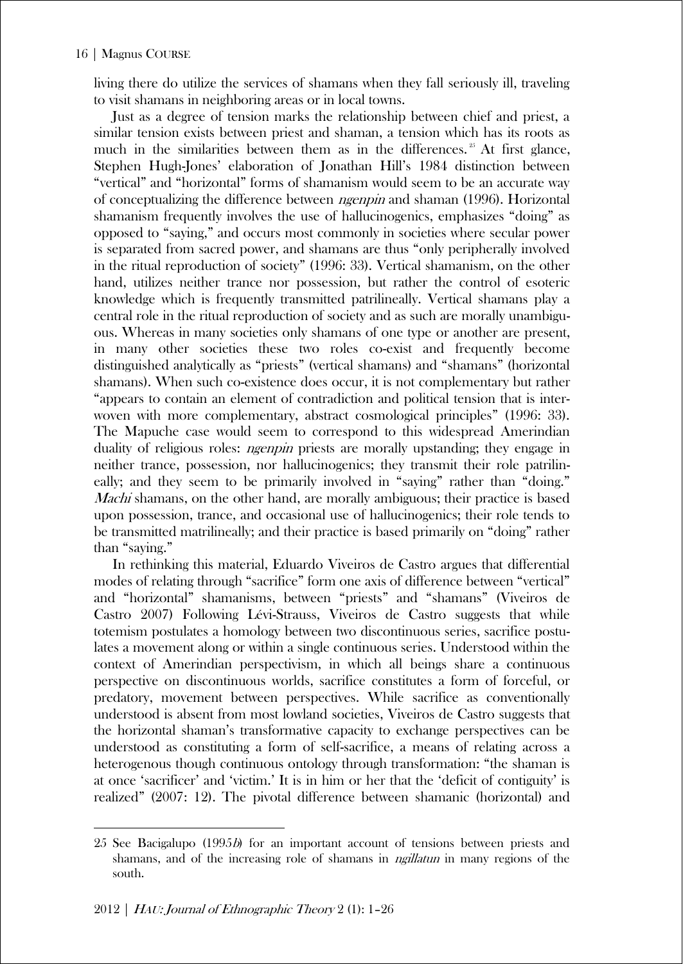living there do utilize the services of shamans when they fall seriously ill, traveling to visit shamans in neighboring areas or in local towns.

Just as a degree of tension marks the relationship between chief and priest, a similar tension exists between priest and shaman, a tension which has its roots as much in the similarities between them as in the differences.<sup>25</sup> At first glance, Stephen Hugh-Jones' elaboration of Jonathan Hill's 1984 distinction between "vertical" and "horizontal" forms of shamanism would seem to be an accurate way of conceptualizing the difference between ngenpin and shaman (1996). Horizontal shamanism frequently involves the use of hallucinogenics, emphasizes "doing" as opposed to "saying," and occurs most commonly in societies where secular power is separated from sacred power, and shamans are thus "only peripherally involved in the ritual reproduction of society" (1996: 33). Vertical shamanism, on the other hand, utilizes neither trance nor possession, but rather the control of esoteric knowledge which is frequently transmitted patrilineally. Vertical shamans play a central role in the ritual reproduction of society and as such are morally unambiguous. Whereas in many societies only shamans of one type or another are present, in many other societies these two roles co-exist and frequently become distinguished analytically as "priests" (vertical shamans) and "shamans" (horizontal shamans). When such co-existence does occur, it is not complementary but rather "appears to contain an element of contradiction and political tension that is interwoven with more complementary, abstract cosmological principles" (1996: 33). The Mapuche case would seem to correspond to this widespread Amerindian duality of religious roles: ngenpin priests are morally upstanding; they engage in neither trance, possession, nor hallucinogenics; they transmit their role patrilineally; and they seem to be primarily involved in "saying" rather than "doing." Machi shamans, on the other hand, are morally ambiguous; their practice is based upon possession, trance, and occasional use of hallucinogenics; their role tends to be transmitted matrilineally; and their practice is based primarily on "doing" rather than "saying."

In rethinking this material, Eduardo Viveiros de Castro argues that differential modes of relating through "sacrifice" form one axis of difference between "vertical" and "horizontal" shamanisms, between "priests" and "shamans" (Viveiros de Castro 2007) Following Lévi-Strauss, Viveiros de Castro suggests that while totemism postulates a homology between two discontinuous series, sacrifice postulates a movement along or within a single continuous series. Understood within the context of Amerindian perspectivism, in which all beings share a continuous perspective on discontinuous worlds, sacrifice constitutes a form of forceful, or predatory, movement between perspectives. While sacrifice as conventionally understood is absent from most lowland societies, Viveiros de Castro suggests that the horizontal shaman's transformative capacity to exchange perspectives can be understood as constituting a form of self-sacrifice, a means of relating across a heterogenous though continuous ontology through transformation: "the shaman is at once 'sacrificer' and 'victim.' It is in him or her that the 'deficit of contiguity' is realized" (2007: 12). The pivotal difference between shamanic (horizontal) and

<sup>25</sup> See Bacigalupo (1995b) for an important account of tensions between priests and shamans, and of the increasing role of shamans in *ngillatun* in many regions of the south.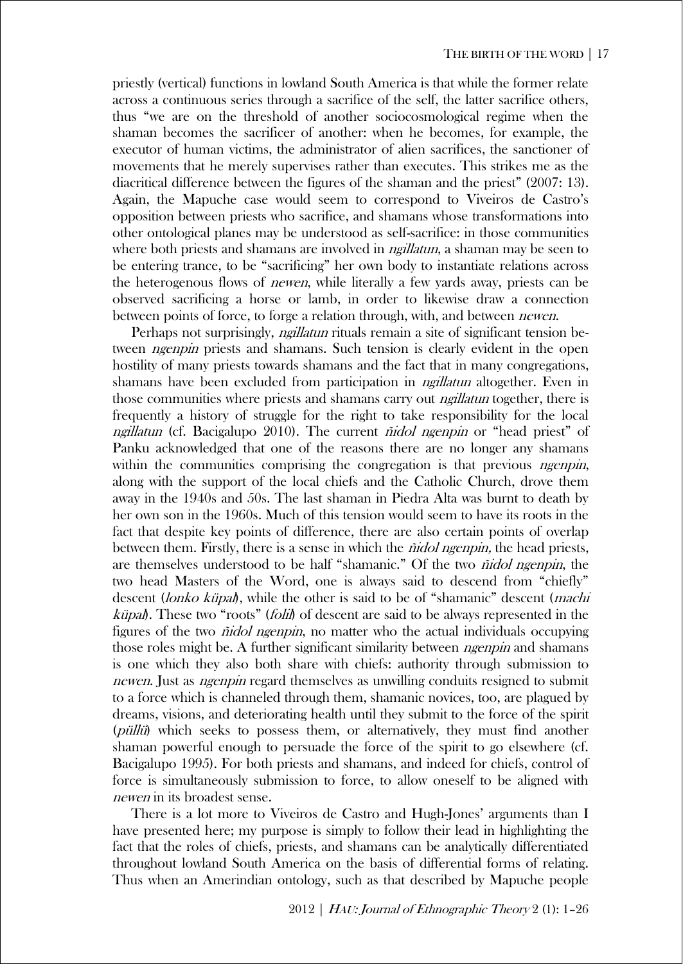priestly (vertical) functions in lowland South America is that while the former relate across a continuous series through a sacrifice of the self, the latter sacrifice others, thus "we are on the threshold of another sociocosmological regime when the shaman becomes the sacrificer of another: when he becomes, for example, the executor of human victims, the administrator of alien sacrifices, the sanctioner of movements that he merely supervises rather than executes. This strikes me as the diacritical difference between the figures of the shaman and the priest" (2007: 13). Again, the Mapuche case would seem to correspond to Viveiros de Castro's opposition between priests who sacrifice, and shamans whose transformations into other ontological planes may be understood as self-sacrifice: in those communities where both priests and shamans are involved in *ngillatun*, a shaman may be seen to be entering trance, to be "sacrificing" her own body to instantiate relations across the heterogenous flows of newen, while literally a few yards away, priests can be observed sacrificing a horse or lamb, in order to likewise draw a connection between points of force, to forge a relation through, with, and between *newen*.

Perhaps not surprisingly, *ngillatun* rituals remain a site of significant tension between ngenpin priests and shamans. Such tension is clearly evident in the open hostility of many priests towards shamans and the fact that in many congregations, shamans have been excluded from participation in *ngillatun* altogether. Even in those communities where priests and shamans carry out *ngillatun* together, there is frequently a history of struggle for the right to take responsibility for the local ngillatun (cf. Bacigalupo 2010). The current *ñidol ngenpin* or "head priest" of Panku acknowledged that one of the reasons there are no longer any shamans within the communities comprising the congregation is that previous *ngenpin*, along with the support of the local chiefs and the Catholic Church, drove them away in the 1940s and 50s. The last shaman in Piedra Alta was burnt to death by her own son in the 1960s. Much of this tension would seem to have its roots in the fact that despite key points of difference, there are also certain points of overlap between them. Firstly, there is a sense in which the *ñidol ngenpin*, the head priests, are themselves understood to be half "shamanic." Of the two ñidol ngenpin, the two head Masters of the Word, one is always said to descend from "chiefly" descent (lonko küpal), while the other is said to be of "shamanic" descent (machi küpal). These two "roots" (folil) of descent are said to be always represented in the figures of the two *ñidol ngenpin*, no matter who the actual individuals occupying those roles might be. A further significant similarity between *ngenpin* and shamans is one which they also both share with chiefs: authority through submission to newen. Just as *ngenpin* regard themselves as unwilling conduits resigned to submit to a force which is channeled through them, shamanic novices, too, are plagued by dreams, visions, and deteriorating health until they submit to the force of the spirit (püllü) which seeks to possess them, or alternatively, they must find another shaman powerful enough to persuade the force of the spirit to go elsewhere (cf. Bacigalupo 1995). For both priests and shamans, and indeed for chiefs, control of force is simultaneously submission to force, to allow oneself to be aligned with newen in its broadest sense.

There is a lot more to Viveiros de Castro and Hugh-Jones' arguments than I have presented here; my purpose is simply to follow their lead in highlighting the fact that the roles of chiefs, priests, and shamans can be analytically differentiated throughout lowland South America on the basis of differential forms of relating. Thus when an Amerindian ontology, such as that described by Mapuche people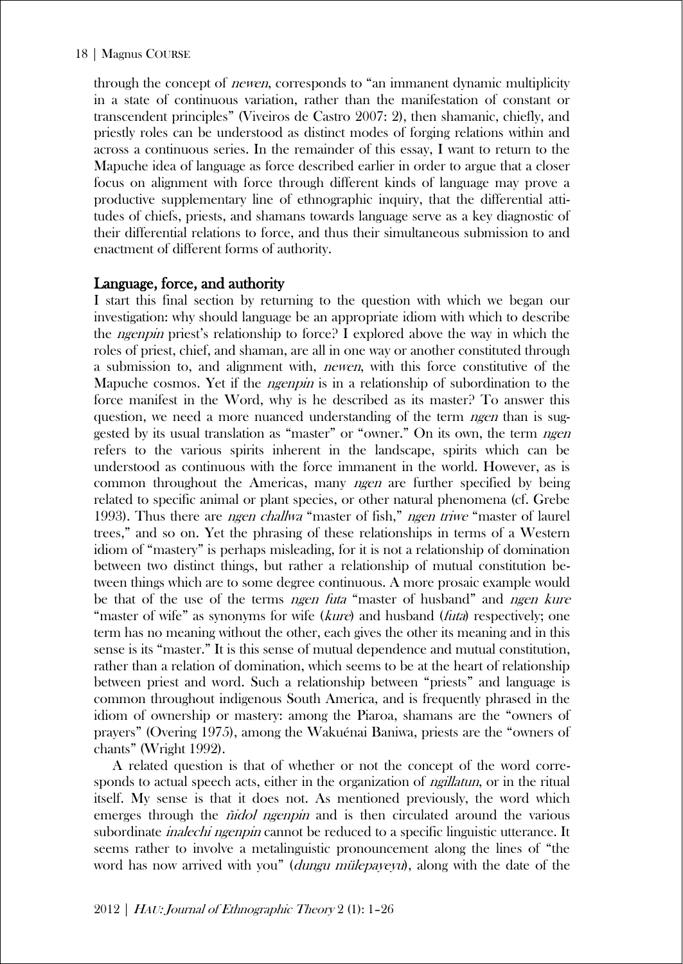through the concept of *newen*, corresponds to "an immanent dynamic multiplicity in a state of continuous variation, rather than the manifestation of constant or transcendent principles" (Viveiros de Castro 2007: 2), then shamanic, chiefly, and priestly roles can be understood as distinct modes of forging relations within and across a continuous series. In the remainder of this essay, I want to return to the Mapuche idea of language as force described earlier in order to argue that a closer focus on alignment with force through different kinds of language may prove a productive supplementary line of ethnographic inquiry, that the differential attitudes of chiefs, priests, and shamans towards language serve as a key diagnostic of their differential relations to force, and thus their simultaneous submission to and enactment of different forms of authority.

#### Language, force, and authority

I start this final section by returning to the question with which we began our investigation: why should language be an appropriate idiom with which to describe the ngenpin priest's relationship to force? I explored above the way in which the roles of priest, chief, and shaman, are all in one way or another constituted through a submission to, and alignment with, newen, with this force constitutive of the Mapuche cosmos. Yet if the *ngenpin* is in a relationship of subordination to the force manifest in the Word, why is he described as its master? To answer this question, we need a more nuanced understanding of the term *ngen* than is suggested by its usual translation as "master" or "owner." On its own, the term *ngen* refers to the various spirits inherent in the landscape, spirits which can be understood as continuous with the force immanent in the world. However, as is common throughout the Americas, many *ngen* are further specified by being related to specific animal or plant species, or other natural phenomena (cf. Grebe 1993). Thus there are *ngen challwa* "master of fish," *ngen triwe* "master of laurel" trees," and so on. Yet the phrasing of these relationships in terms of a Western idiom of "mastery" is perhaps misleading, for it is not a relationship of domination between two distinct things, but rather a relationship of mutual constitution between things which are to some degree continuous. A more prosaic example would be that of the use of the terms *ngen futa* "master of husband" and *ngen kure* "master of wife" as synonyms for wife (*kure*) and husband (*futa*) respectively; one term has no meaning without the other, each gives the other its meaning and in this sense is its "master." It is this sense of mutual dependence and mutual constitution, rather than a relation of domination, which seems to be at the heart of relationship between priest and word. Such a relationship between "priests" and language is common throughout indigenous South America, and is frequently phrased in the idiom of ownership or mastery: among the Piaroa, shamans are the "owners of prayers" (Overing 1975), among the Wakuénai Baniwa, priests are the "owners of chants" (Wright 1992).

A related question is that of whether or not the concept of the word corresponds to actual speech acts, either in the organization of *ngillatun*, or in the ritual itself. My sense is that it does not. As mentioned previously, the word which emerges through the *ñidol ngenpin* and is then circulated around the various subordinate *inalechi ngenpin* cannot be reduced to a specific linguistic utterance. It seems rather to involve a metalinguistic pronouncement along the lines of "the word has now arrived with you" (*dungu mülepayeyu*), along with the date of the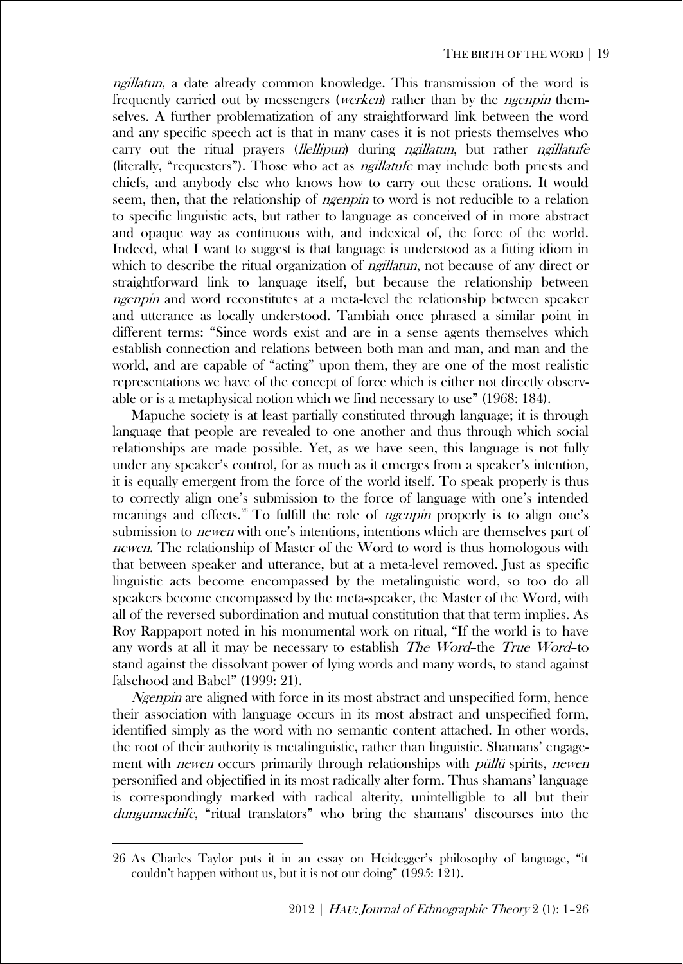ngillatun, a date already common knowledge. This transmission of the word is frequently carried out by messengers (werken) rather than by the ngenpin themselves. A further problematization of any straightforward link between the word and any specific speech act is that in many cases it is not priests themselves who carry out the ritual prayers (*llellipun*) during ngillatun, but rather ngillatufe (literally, "requesters"). Those who act as ngillatufe may include both priests and chiefs, and anybody else who knows how to carry out these orations. It would seem, then, that the relationship of *ngenpin* to word is not reducible to a relation to specific linguistic acts, but rather to language as conceived of in more abstract and opaque way as continuous with, and indexical of, the force of the world. Indeed, what I want to suggest is that language is understood as a fitting idiom in which to describe the ritual organization of *ngillatun*, not because of any direct or straightforward link to language itself, but because the relationship between ngenpin and word reconstitutes at a meta-level the relationship between speaker and utterance as locally understood. Tambiah once phrased a similar point in different terms: "Since words exist and are in a sense agents themselves which establish connection and relations between both man and man, and man and the world, and are capable of "acting" upon them, they are one of the most realistic representations we have of the concept of force which is either not directly observable or is a metaphysical notion which we find necessary to use" (1968: 184).

Mapuche society is at least partially constituted through language; it is through language that people are revealed to one another and thus through which social relationships are made possible. Yet, as we have seen, this language is not fully under any speaker's control, for as much as it emerges from a speaker's intention, it is equally emergent from the force of the world itself. To speak properly is thus to correctly align one's submission to the force of language with one's intended meanings and effects.<sup>26</sup> To fulfill the role of *ngenpin* properly is to align one's submission to *newen* with one's intentions, intentions which are themselves part of newen. The relationship of Master of the Word to word is thus homologous with that between speaker and utterance, but at a meta-level removed. Just as specific linguistic acts become encompassed by the metalinguistic word, so too do all speakers become encompassed by the meta-speaker, the Master of the Word, with all of the reversed subordination and mutual constitution that that term implies. As Roy Rappaport noted in his monumental work on ritual, "If the world is to have any words at all it may be necessary to establish The Word–the True Word–to stand against the dissolvant power of lying words and many words, to stand against falsehood and Babel" (1999: 21).

Ngenpin are aligned with force in its most abstract and unspecified form, hence their association with language occurs in its most abstract and unspecified form, identified simply as the word with no semantic content attached. In other words, the root of their authority is metalinguistic, rather than linguistic. Shamans' engagement with *newen* occurs primarily through relationships with *püllü* spirits, *newen* personified and objectified in its most radically alter form. Thus shamans' language is correspondingly marked with radical alterity, unintelligible to all but their dungumachife, "ritual translators" who bring the shamans' discourses into the

<sup>26</sup> As Charles Taylor puts it in an essay on Heidegger's philosophy of language, "it couldn't happen without us, but it is not our doing" (1995: 121).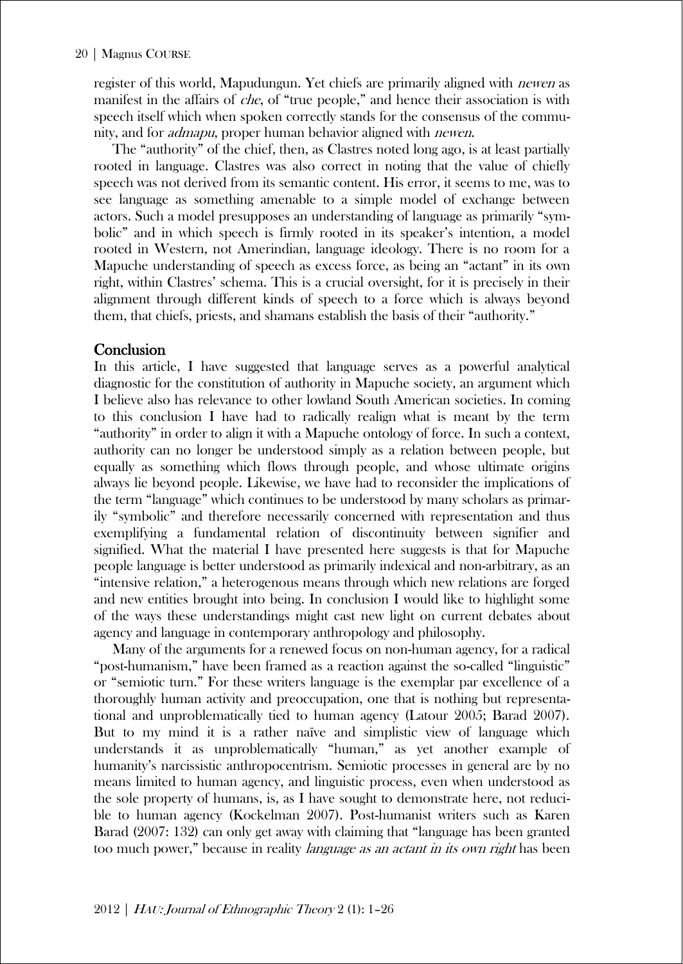register of this world, Mapudungun. Yet chiefs are primarily aligned with *newen* as manifest in the affairs of *che*, of "true people," and hence their association is with speech itself which when spoken correctly stands for the consensus of the community, and for admapu, proper human behavior aligned with newen.

The "authority" of the chief, then, as Clastres noted long ago, is at least partially rooted in language. Clastres was also correct in noting that the value of chiefly speech was not derived from its semantic content. His error, it seems to me, was to see language as something amenable to a simple model of exchange between actors. Such a model presupposes an understanding of language as primarily "symbolic" and in which speech is firmly rooted in its speaker's intention, a model rooted in Western, not Amerindian, language ideology. There is no room for a Mapuche understanding of speech as excess force, as being an "actant" in its own right, within Clastres' schema. This is a crucial oversight, for it is precisely in their alignment through different kinds of speech to a force which is always beyond them, that chiefs, priests, and shamans establish the basis of their "authority."

#### **Conclusion**

In this article, I have suggested that language serves as a powerful analytical diagnostic for the constitution of authority in Mapuche society, an argument which I believe also has relevance to other lowland South American societies. In coming to this conclusion I have had to radically realign what is meant by the term "authority" in order to align it with a Mapuche ontology of force. In such a context, authority can no longer be understood simply as a relation between people, but equally as something which flows through people, and whose ultimate origins always lie beyond people. Likewise, we have had to reconsider the implications of the term "language" which continues to be understood by many scholars as primarily "symbolic" and therefore necessarily concerned with representation and thus exemplifying a fundamental relation of discontinuity between signifier and signified. What the material I have presented here suggests is that for Mapuche people language is better understood as primarily indexical and non-arbitrary, as an "intensive relation," a heterogenous means through which new relations are forged and new entities brought into being. In conclusion I would like to highlight some of the ways these understandings might cast new light on current debates about agency and language in contemporary anthropology and philosophy.

Many of the arguments for a renewed focus on non-human agency, for a radical "post-humanism," have been framed as a reaction against the so-called "linguistic" or "semiotic turn." For these writers language is the exemplar par excellence of a thoroughly human activity and preoccupation, one that is nothing but representational and unproblematically tied to human agency (Latour 2005; Barad 2007). But to my mind it is a rather naïve and simplistic view of language which understands it as unproblematically "human," as yet another example of humanity's narcissistic anthropocentrism. Semiotic processes in general are by no means limited to human agency, and linguistic process, even when understood as the sole property of humans, is, as I have sought to demonstrate here, not reducible to human agency (Kockelman 2007). Post-humanist writers such as Karen Barad (2007: 132) can only get away with claiming that "language has been granted too much power," because in reality *language as an actant in its own right* has been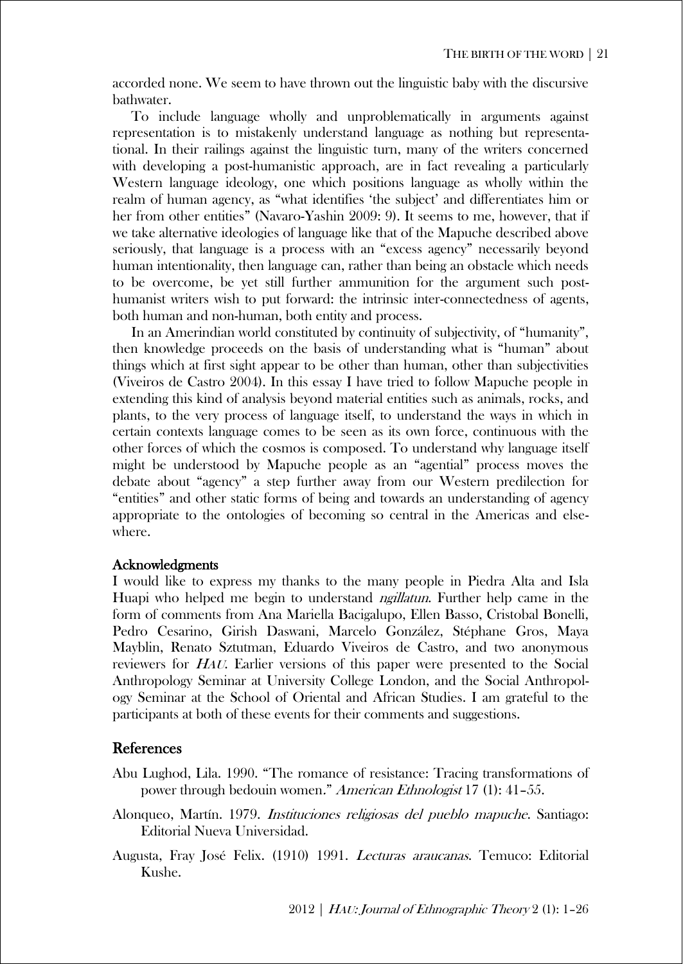accorded none. We seem to have thrown out the linguistic baby with the discursive bathwater.

To include language wholly and unproblematically in arguments against representation is to mistakenly understand language as nothing but representational. In their railings against the linguistic turn, many of the writers concerned with developing a post-humanistic approach, are in fact revealing a particularly Western language ideology, one which positions language as wholly within the realm of human agency, as "what identifies 'the subject' and differentiates him or her from other entities" (Navaro-Yashin 2009: 9). It seems to me, however, that if we take alternative ideologies of language like that of the Mapuche described above seriously, that language is a process with an "excess agency" necessarily beyond human intentionality, then language can, rather than being an obstacle which needs to be overcome, be yet still further ammunition for the argument such posthumanist writers wish to put forward: the intrinsic inter-connectedness of agents, both human and non-human, both entity and process.

In an Amerindian world constituted by continuity of subjectivity, of "humanity", then knowledge proceeds on the basis of understanding what is "human" about things which at first sight appear to be other than human, other than subjectivities (Viveiros de Castro 2004). In this essay I have tried to follow Mapuche people in extending this kind of analysis beyond material entities such as animals, rocks, and plants, to the very process of language itself, to understand the ways in which in certain contexts language comes to be seen as its own force, continuous with the other forces of which the cosmos is composed. To understand why language itself might be understood by Mapuche people as an "agential" process moves the debate about "agency" a step further away from our Western predilection for "entities" and other static forms of being and towards an understanding of agency appropriate to the ontologies of becoming so central in the Americas and elsewhere.

#### Acknowledgments

I would like to express my thanks to the many people in Piedra Alta and Isla Huapi who helped me begin to understand *ngillatun*. Further help came in the form of comments from Ana Mariella Bacigalupo, Ellen Basso, Cristobal Bonelli, Pedro Cesarino, Girish Daswani, Marcelo González, Stéphane Gros, Maya Mayblin, Renato Sztutman, Eduardo Viveiros de Castro, and two anonymous reviewers for *HAU*. Earlier versions of this paper were presented to the Social Anthropology Seminar at University College London, and the Social Anthropology Seminar at the School of Oriental and African Studies. I am grateful to the participants at both of these events for their comments and suggestions.

#### References

- Abu Lughod, Lila. 1990. "The romance of resistance: Tracing transformations of power through bedouin women." [American Ethnologist](http://www.jstor.org/action/showPublication?journalCode=amerethn) 17 (1): 41-55.
- Alonqueo, Martín. 1979. Instituciones religiosas del pueblo mapuche. Santiago: Editorial Nueva Universidad.
- Augusta, Fray José Felix. (1910) 1991. Lecturas araucanas. Temuco: Editorial Kushe.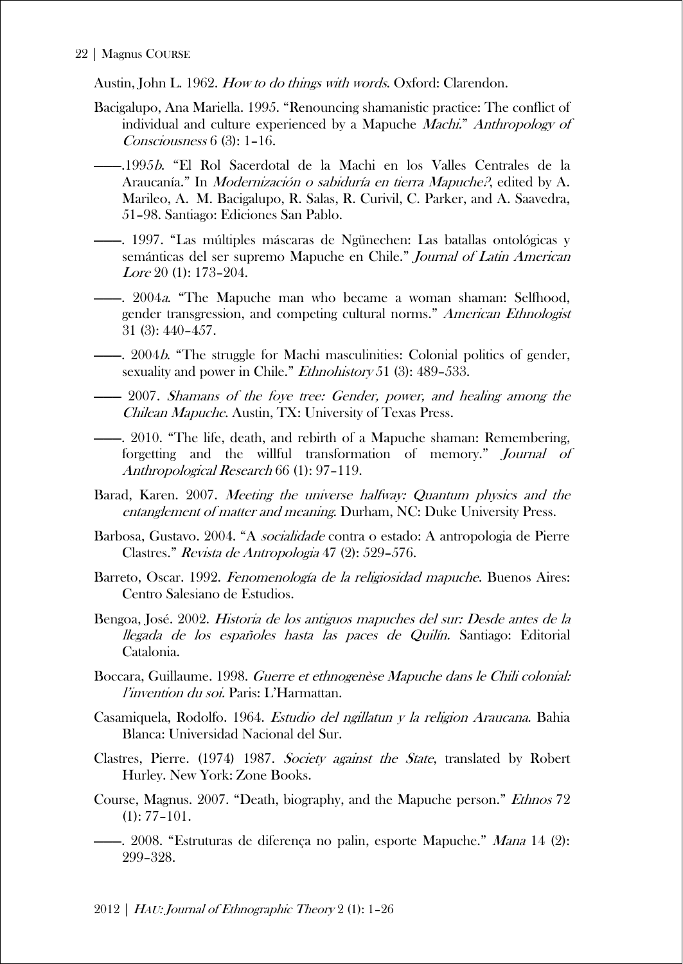Austin, John L. 1962. How to do things with words. Oxford: Clarendon.

- Bacigalupo, Ana Mariella. 1995. "Renouncing shamanistic practice: The conflict of individual and culture experienced by a Mapuche Machi." Anthropology of Consciousness 6 (3): 1–16.
- ———.1995b. "El Rol Sacerdotal de la Machi en los Valles Centrales de la Araucanía." In Modernización o sabiduría en tierra Mapuche?, edited by A. Marileo, A. M. Bacigalupo, R. Salas, R. Curivil, C. Parker, and A. Saavedra, 51–98. Santiago: Ediciones San Pablo.
- ———. 1997. "Las múltiples máscaras de Ngünechen: Las batallas ontológicas y semánticas del ser supremo Mapuche en Chile." Journal of Latin American Lore 20 (1): 173–204.
- ———. 2004a. "The Mapuche man who became a woman shaman: Selfhood, gender transgression, and competing cultural norms." American Ethnologist 31 (3): 440–457.
- ———. 2004b. "The struggle for Machi masculinities: Colonial politics of gender, sexuality and power in Chile." *Ethnohistory* 51 (3): 489-533.
- ——— 2007. Shamans of the foye tree: Gender, power, and healing among the Chilean Mapuche. Austin, TX: University of Texas Press.
- ———. 2010. "The life, death, and rebirth of a Mapuche shaman: Remembering, forgetting and the willful transformation of memory." Journal of Anthropological Research 66 (1): 97–119.
- Barad, Karen. 2007. Meeting the universe halfway: Quantum physics and the entanglement of matter and meaning. Durham, NC: Duke University Press.
- Barbosa, Gustavo. 2004. "A socialidade contra o estado: A antropologia de Pierre Clastres." Revista de Antropologia 47 (2): 529–576.
- Barreto, Oscar. 1992. Fenomenología de la religiosidad mapuche. Buenos Aires: Centro Salesiano de Estudios.
- Bengoa, José. 2002. Historia de los antiguos mapuches del sur: Desde antes de la llegada de los españoles hasta las paces de Quilín. Santiago: Editorial Catalonia.
- Boccara, Guillaume. 1998. Guerre et ethnogenèse Mapuche dans le Chili colonial: l'invention du soi. Paris: L'Harmattan.
- Casamiquela, Rodolfo. 1964. Estudio del ngillatun y la religion Araucana. Bahia Blanca: Universidad Nacional del Sur.
- Clastres, Pierre. (1974) 1987. Society against the State, translated by Robert Hurley. New York: Zone Books.
- Course, Magnus. 2007. "Death, biography, and the Mapuche person." Ethnos 72 (1): 77–101.
- ———. 2008. "Estruturas de diferença no palin, esporte Mapuche." Mana 14 (2): 299–328.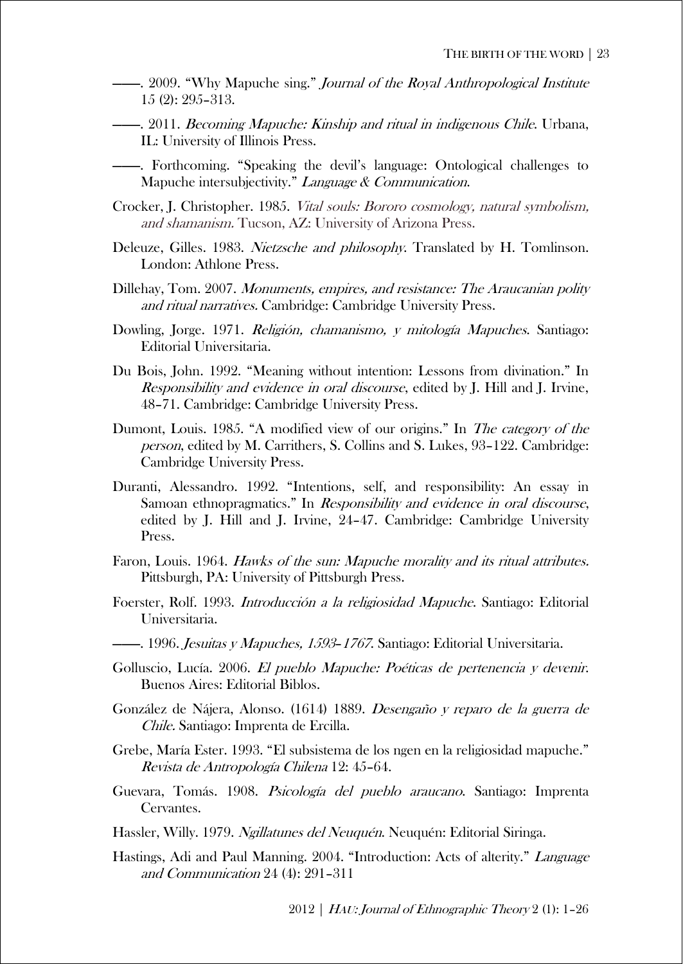- ———. 2009. "Why Mapuche sing." Journal of the Royal Anthropological Institute 15 (2): 295–313.
- <sup>-----</sup> 2011. *Becoming Mapuche: Kinship and ritual in indigenous Chile*. Urbana, IL: University of Illinois Press.

———. Forthcoming. "Speaking the devil's language: Ontological challenges to Mapuche intersubjectivity." Language & Communication.

- Crocker, J. Christopher. 1985. Vital souls: Bororo cosmology, natural symbolism, and shamanism. Tucson, AZ: University of Arizona Press.
- Deleuze, Gilles. 1983. Nietzsche and philosophy. Translated by H. Tomlinson. London: Athlone Press.
- Dillehay, Tom. 2007. Monuments, empires, and resistance: The Araucanian polity and ritual narratives. Cambridge: Cambridge University Press.
- Dowling, Jorge. 1971. Religión, chamanismo, y mitología Mapuches. Santiago: Editorial Universitaria.
- Du Bois, John. 1992. "Meaning without intention: Lessons from divination." In Responsibility and evidence in oral discourse, edited by J. Hill and J. Irvine, 48–71. Cambridge: Cambridge University Press.
- Dumont, Louis. 1985. "A modified view of our origins." In The category of the person, edited by M. Carrithers, S. Collins and S. Lukes, 93–122. Cambridge: Cambridge University Press.
- Duranti, Alessandro. 1992. "Intentions, self, and responsibility: An essay in Samoan ethnopragmatics." In Responsibility and evidence in oral discourse, edited by J. Hill and J. Irvine, 24–47. Cambridge: Cambridge University Press.
- Faron, Louis. 1964. Hawks of the sun: Mapuche morality and its ritual attributes. Pittsburgh, PA: University of Pittsburgh Press.
- Foerster, Rolf. 1993. Introducción a la religiosidad Mapuche. Santiago: Editorial Universitaria.
- ———. 1996. Jesuitas y Mapuches, 1593–1767. Santiago: Editorial Universitaria.
- Golluscio, Lucía. 2006. El pueblo Mapuche: Poéticas de pertenencia y devenir. Buenos Aires: Editorial Biblos.
- González de Nájera, Alonso. (1614) 1889. Desengaño y reparo de la guerra de Chile. Santiago: Imprenta de Ercilla.
- Grebe, María Ester. 1993. "El subsistema de los ngen en la religiosidad mapuche." Revista de Antropología Chilena 12: 45–64.
- Guevara, Tomás. 1908. Psicología del pueblo araucano. Santiago: Imprenta Cervantes.
- Hassler, Willy. 1979. Ngillatunes del Neuquén. Neuquén: Editorial Siringa.
- Hastings, Adi and Paul Manning. 2004. "Introduction: Acts of alterity." Language and Communication 24 (4): 291–311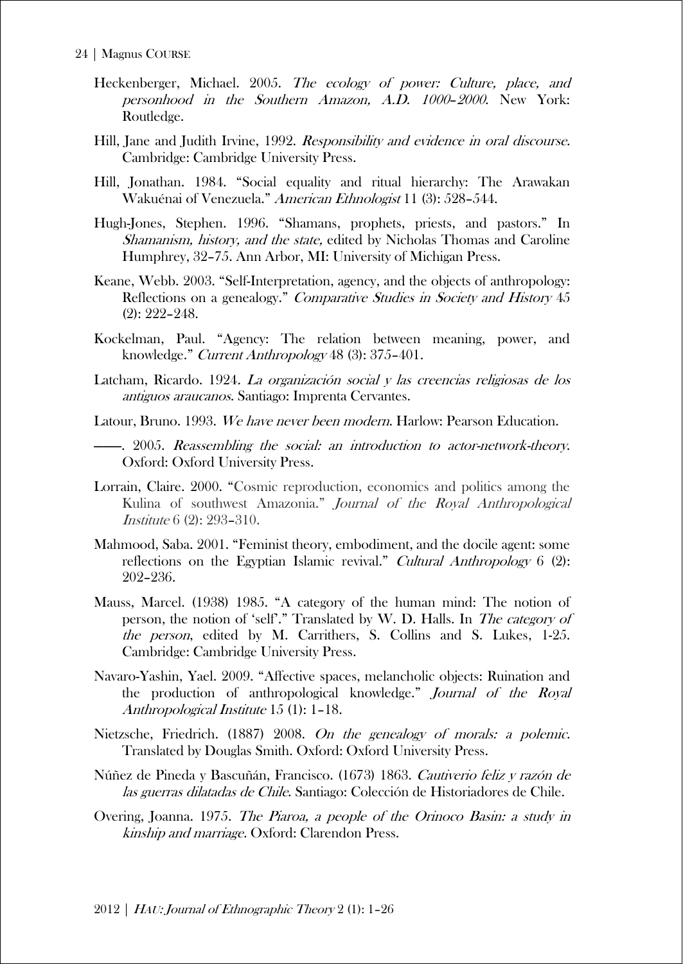- Heckenberger, Michael. 2005. The ecology of power: Culture, place, and personhood in the Southern Amazon, A.D. 1000–2000. New York: Routledge.
- Hill, Jane and Judith Irvine, 1992. Responsibility and evidence in oral discourse. Cambridge: Cambridge University Press.
- Hill, Jonathan. 1984. "Social equality and ritual hierarchy: The Arawakan Wakuénai of Venezuela." American Ethnologist 11 (3): 528–544.
- Hugh-Jones, Stephen. 1996. "Shamans, prophets, priests, and pastors." In Shamanism, history, and the state, edited by Nicholas Thomas and Caroline Humphrey, 32–75. Ann Arbor, MI: University of Michigan Press.
- Keane, Webb. 2003. "Self-Interpretation, agency, and the objects of anthropology: Reflections on a genealogy." Comparative Studies in Society and History 45 (2): 222–248.
- Kockelman, Paul. "Agency: The relation between meaning, power, and knowledge." Current Anthropology 48 (3): 375-401.
- Latcham, Ricardo. 1924. La organización social y las creencias religiosas de los antiguos araucanos. Santiago: Imprenta Cervantes.
- Latour, Bruno. 1993. We have never been modern. Harlow: Pearson Education.
- ———. 2005. Reassembling the social: an introduction to actor-network-theory. Oxford: Oxford University Press.
- Lorrain, Claire. 2000. "Cosmic reproduction, economics and politics among the Kulina of southwest Amazonia." Journal of the Royal Anthropological Institute 6 (2): 293–310.
- Mahmood, Saba. 2001. ["Feminist theory, embodiment, and the docile agent: some](http://ls.berkeley.edu/dept/anth/CA.2001.pdf)  [reflections on the Egyptian Islamic revival](http://ls.berkeley.edu/dept/anth/CA.2001.pdf)." Cultural Anthropology 6 (2): 202–236.
- Mauss, Marcel. (1938) 1985. "A category of the human mind: The notion of person, the notion of 'self'." Translated by W. D. Halls. In The category of the person, edited by M. Carrithers, S. Collins and S. Lukes, 1-25. Cambridge: Cambridge University Press.
- Navaro-Yashin, Yael. 2009. "Affective spaces, melancholic objects: Ruination and the production of anthropological knowledge." Journal of the Royal Anthropological Institute 15 (1): 1–18.
- Nietzsche, Friedrich. (1887) 2008. On the genealogy of morals: a polemic. Translated by Douglas Smith. Oxford: Oxford University Press.
- Núñez de Pineda y Bascuñán, Francisco. (1673) 1863. Cautiverio feliz y razón de las guerras dilatadas de Chile. Santiago: Colección de Historiadores de Chile.
- Overing, Joanna. 1975. The Piaroa, a people of the Orinoco Basin: a study in kinship and marriage. Oxford: Clarendon Press.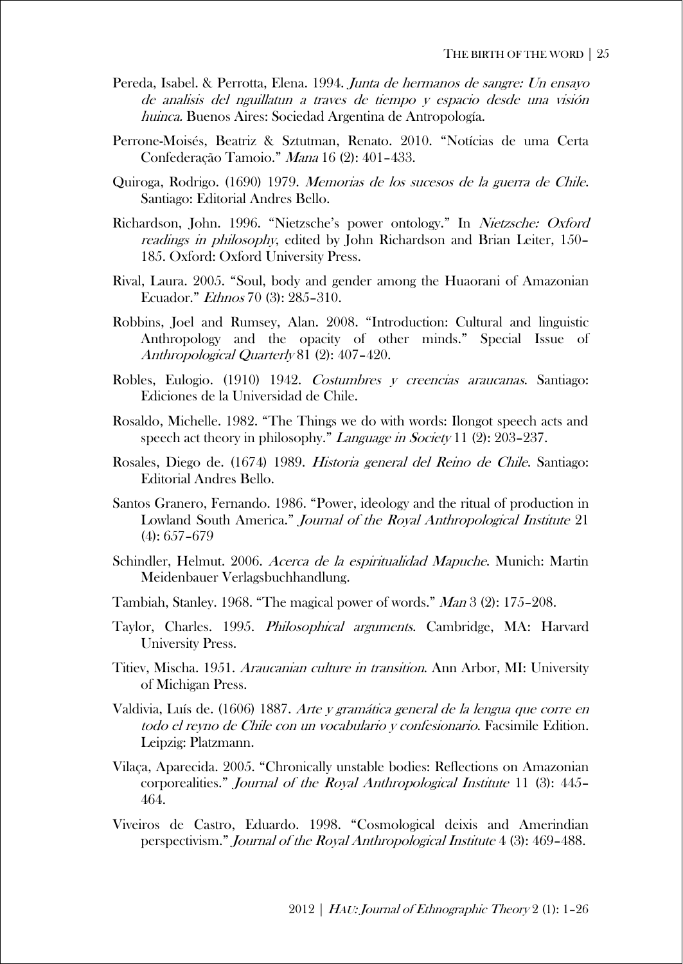- Pereda, Isabel. & Perrotta, Elena. 1994. Junta de hermanos de sangre: Un ensayo de analisis del nguillatun a traves de tiempo y espacio desde una visión huinca. Buenos Aires: Sociedad Argentina de Antropología.
- Perrone-Moisés, Beatriz & Sztutman, Renato. 2010. "Notícias de uma Certa Confederação Tamoio." Mana 16 (2): 401–433.
- Quiroga, Rodrigo. (1690) 1979. Memorias de los sucesos de la guerra de Chile. Santiago: Editorial Andres Bello.
- Richardson, John. 1996. "Nietzsche's power ontology." In Nietzsche: Oxford readings in philosophy, edited by John Richardson and Brian Leiter, 150– 185. Oxford: Oxford University Press.
- Rival, Laura. 2005. "Soul, body and gender among the Huaorani of Amazonian Ecuador." Ethnos 70 (3): 285–310.
- Robbins, Joel and Rumsey, Alan. 2008. "Introduction: Cultural and linguistic Anthropology and the opacity of other minds." Special Issue of Anthropological Quarterly 81 (2): 407–420.
- Robles, Eulogio. (1910) 1942. Costumbres y creencias araucanas. Santiago: Ediciones de la Universidad de Chile.
- Rosaldo, Michelle. 1982. "The Things we do with words: Ilongot speech acts and speech act theory in philosophy." Language in Society 11 (2): 203-237.
- Rosales, Diego de. (1674) 1989. Historia general del Reino de Chile. Santiago: Editorial Andres Bello.
- Santos Granero, Fernando. 1986. "Power, ideology and the ritual of production in Lowland South America." *Journal of the Royal Anthropological Institute 21* (4): 657–679
- Schindler, Helmut. 2006. Acerca de la espiritualidad Mapuche. Munich: Martin Meidenbauer Verlagsbuchhandlung.
- Tambiah, Stanley. 1968. "The magical power of words." Man 3 (2): 175–208.
- Taylor, Charles. 1995. Philosophical arguments. Cambridge, MA: Harvard University Press.
- Titiev, Mischa. 1951. Araucanian culture in transition. Ann Arbor, MI: University of Michigan Press.
- Valdivia, Luís de. (1606) 1887. Arte y gramática general de la lengua que corre en todo el reyno de Chile con un vocabulario y confesionario. Facsimile Edition. Leipzig: Platzmann.
- Vilaça, Aparecida. 2005. "Chronically unstable bodies: Reflections on Amazonian corporealities." Journal of the Royal Anthropological Institute 11 (3): 445– 464.
- Viveiros de Castro, Eduardo. 1998. "Cosmological deixis and Amerindian perspectivism." Journal of the Royal Anthropological Institute 4 (3): 469–488.